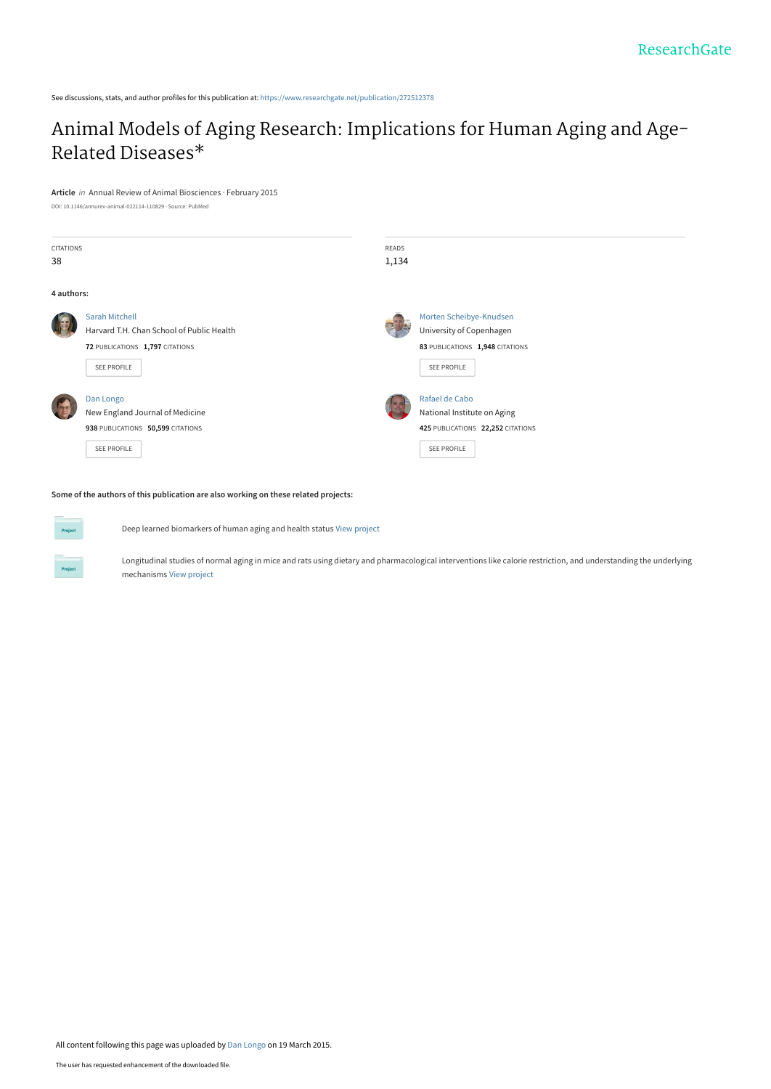See discussions, stats, and author profiles for this publication at: [https://www.researchgate.net/publication/272512378](https://www.researchgate.net/publication/272512378_Animal_Models_of_Aging_Research_Implications_for_Human_Aging_and_Age-Related_Diseases?enrichId=rgreq-be988b69f239d5d629b681a0a7647c62-XXX&enrichSource=Y292ZXJQYWdlOzI3MjUxMjM3ODtBUzoyMDg3OTA4NDc3OTExMDRAMTQyNjc5MTAyNTIwMQ%3D%3D&el=1_x_2&_esc=publicationCoverPdf)

## [Animal Models of Aging Research: Implications for Human Aging and Age-](https://www.researchgate.net/publication/272512378_Animal_Models_of_Aging_Research_Implications_for_Human_Aging_and_Age-Related_Diseases?enrichId=rgreq-be988b69f239d5d629b681a0a7647c62-XXX&enrichSource=Y292ZXJQYWdlOzI3MjUxMjM3ODtBUzoyMDg3OTA4NDc3OTExMDRAMTQyNjc5MTAyNTIwMQ%3D%3D&el=1_x_3&_esc=publicationCoverPdf)Related Diseases\*

**Article** in Annual Review of Animal Biosciences · February 2015

DOI: 10.1146/annurev-animal-022114-110829 · Source: PubMed

| <b>CITATIONS</b> |                                           | READS |                                   |
|------------------|-------------------------------------------|-------|-----------------------------------|
| 38               |                                           | 1,134 |                                   |
|                  |                                           |       |                                   |
| 4 authors:       |                                           |       |                                   |
|                  | <b>Sarah Mitchell</b>                     |       | Morten Scheibye-Knudsen           |
|                  | Harvard T.H. Chan School of Public Health |       | University of Copenhagen          |
|                  | 72 PUBLICATIONS 1,797 CITATIONS           |       | 83 PUBLICATIONS 1,948 CITATIONS   |
|                  | SEE PROFILE                               |       | SEE PROFILE                       |
|                  |                                           |       |                                   |
|                  | Dan Longo                                 |       | Rafael de Cabo                    |
|                  | New England Journal of Medicine           |       | National Institute on Aging       |
|                  | 938 PUBLICATIONS 50,599 CITATIONS         |       | 425 PUBLICATIONS 22,252 CITATIONS |
|                  | SEE PROFILE                               |       | SEE PROFILE                       |
|                  |                                           |       |                                   |
|                  |                                           |       |                                   |

**Some of the authors of this publication are also working on these related projects:**

**Project** 

Deep learned biomarkers of human aging and health status [View project](https://www.researchgate.net/project/Deep-learned-biomarkers-of-human-aging-and-health-status?enrichId=rgreq-be988b69f239d5d629b681a0a7647c62-XXX&enrichSource=Y292ZXJQYWdlOzI3MjUxMjM3ODtBUzoyMDg3OTA4NDc3OTExMDRAMTQyNjc5MTAyNTIwMQ%3D%3D&el=1_x_9&_esc=publicationCoverPdf)

Longitudinal studies of normal aging in mice and rats using dietary and pharmacological interventions like calorie restriction, and understanding the underlying mechanisms [View project](https://www.researchgate.net/project/Longitudinal-studies-of-normal-aging-in-mice-and-rats-using-dietary-and-pharmacological-interventions-like-calorie-restriction-and-understanding-the-underlying-mechanisms?enrichId=rgreq-be988b69f239d5d629b681a0a7647c62-XXX&enrichSource=Y292ZXJQYWdlOzI3MjUxMjM3ODtBUzoyMDg3OTA4NDc3OTExMDRAMTQyNjc5MTAyNTIwMQ%3D%3D&el=1_x_9&_esc=publicationCoverPdf)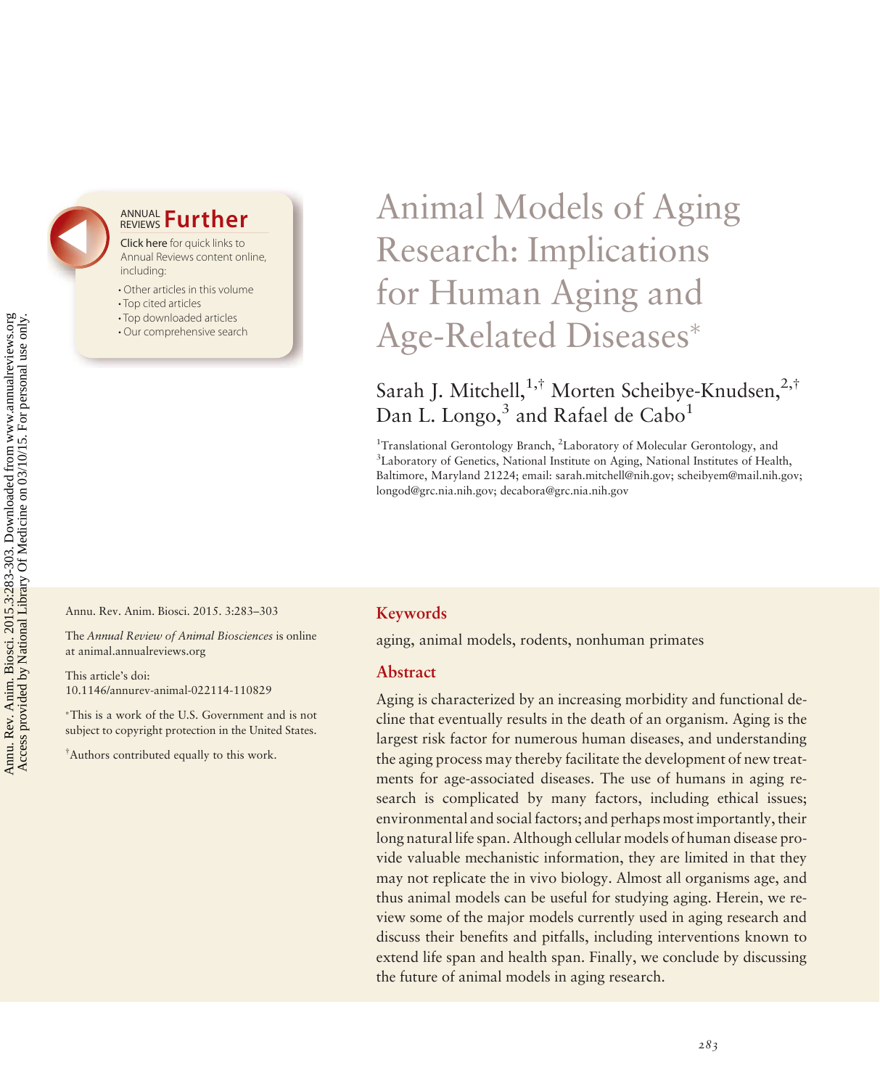### **ANNUAL Further**

Click here for quick links to Annual Reviews content online, including:

- Other articles in this volume
- Top cited articles
- Top downloaded articles
- Our comprehensive search

## Animal Models of Aging Research: Implications for Human Aging and Age-Related Diseases

### Sarah J. Mitchell,  $1, \dagger$  Morten Scheibye-Knudsen,  $2, \dagger$ Dan L. Longo,<sup>3</sup> and Rafael de Cabo<sup>1</sup>

<sup>1</sup>Translational Gerontology Branch, <sup>2</sup>Laboratory of Molecular Gerontology, and <sup>3</sup>Laboratory of Genetics, National Institute on Aging, National Institutes of Health, Baltimore, Maryland 21224; email: [sarah.mitchell@nih.gov;](mailto:sarah.mitchell@nih.gov) [scheibyem@mail.nih.gov;](mailto:scheibyem@mail.nih.gov) [longod@grc.nia.nih.gov](mailto:longod@grc.nia.nih.gov); [decabora@grc.nia.nih.gov](mailto:decabora@grc.nia.nih.gov)

Annu. Rev. Anim. Biosci. 2015. 3:283–303

The Annual Review of Animal Biosciences is online at<animal.annualreviews.org>

This article's doi: 10.1146/annurev-animal-022114-110829

This is a work of the U.S. Government and is not subject to copyright protection in the United States.

† Authors contributed equally to this work.

#### Keywords

aging, animal models, rodents, nonhuman primates

#### Abstract

Aging is characterized by an increasing morbidity and functional decline that eventually results in the death of an organism. Aging is the largest risk factor for numerous human diseases, and understanding the aging process may thereby facilitate the development of new treatments for age-associated diseases. The use of humans in aging research is complicated by many factors, including ethical issues; environmental and social factors; and perhaps most importantly, their long natural life span. Although cellular models of human disease provide valuable mechanistic information, they are limited in that they may not replicate the in vivo biology. Almost all organisms age, and thus animal models can be useful for studying aging. Herein, we review some of the major models currently used in aging research and discuss their benefits and pitfalls, including interventions known to extend life span and health span. Finally, we conclude by discussing the future of animal models in aging research.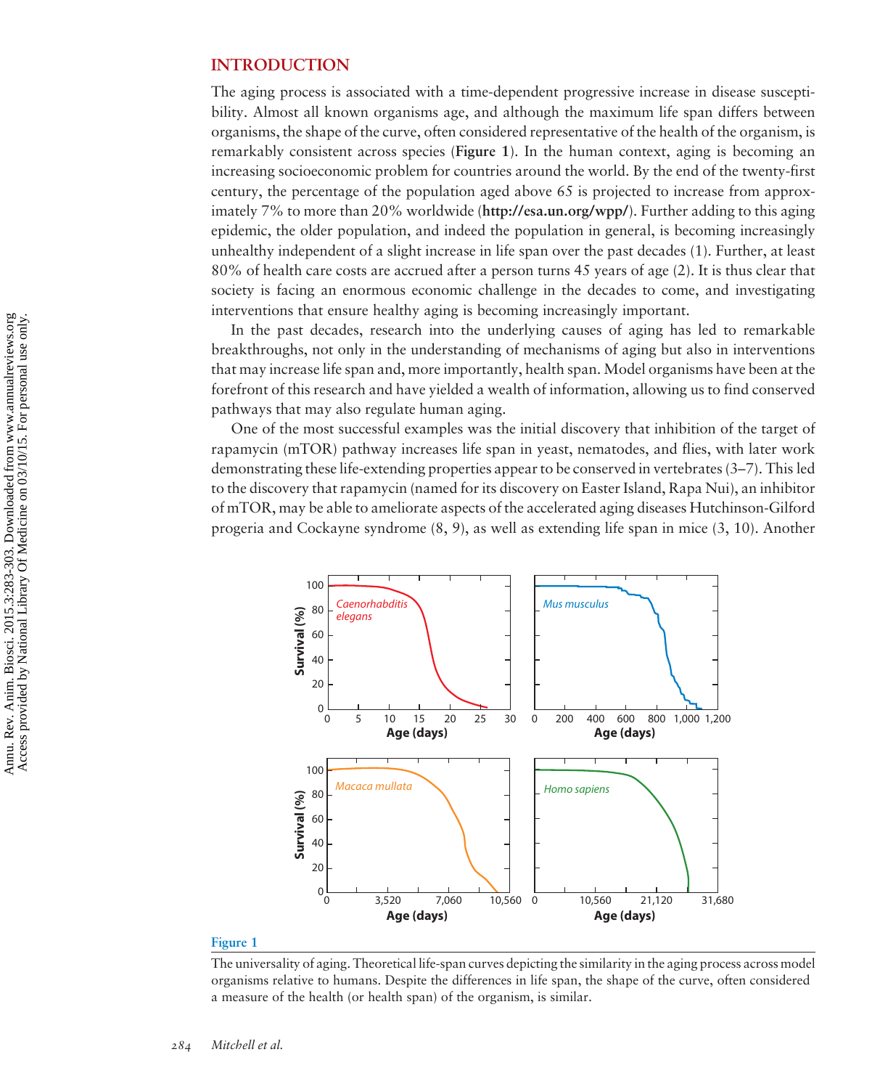#### INTRODUCTION

The aging process is associated with a time-dependent progressive increase in disease susceptibility. Almost all known organisms age, and although the maximum life span differs between organisms, the shape of the curve, often considered representative of the health of the organism, is remarkably consistent across species (Figure 1). In the human context, aging is becoming an increasing socioeconomic problem for countries around the world. By the end of the twenty-first century, the percentage of the population aged above 65 is projected to increase from approximately 7% to more than 20% worldwide (<http://esa.un.org/wpp/>). Further adding to this aging epidemic, the older population, and indeed the population in general, is becoming increasingly unhealthy independent of a slight increase in life span over the past decades (1). Further, at least 80% of health care costs are accrued after a person turns 45 years of age (2). It is thus clear that society is facing an enormous economic challenge in the decades to come, and investigating interventions that ensure healthy aging is becoming increasingly important.

In the past decades, research into the underlying causes of aging has led to remarkable breakthroughs, not only in the understanding of mechanisms of aging but also in interventions that may increase life span and, more importantly, health span. Model organisms have been at the forefront of this research and have yielded a wealth of information, allowing us to find conserved pathways that may also regulate human aging.

One of the most successful examples was the initial discovery that inhibition of the target of rapamycin (mTOR) pathway increases life span in yeast, nematodes, and flies, with later work demonstrating these life-extending properties appear to be conserved in vertebrates (3–7). This led to the discovery that rapamycin (named for its discovery on Easter Island, Rapa Nui), an inhibitor of mTOR, may be able to ameliorate aspects of the accelerated aging diseases Hutchinson-Gilford progeria and Cockayne syndrome (8, 9), as well as extending life span in mice (3, 10). Another



The universality of aging. Theoretical life-span curves depicting the similarity in the aging process across model organisms relative to humans. Despite the differences in life span, the shape of the curve, often considered a measure of the health (or health span) of the organism, is similar.

Figure 1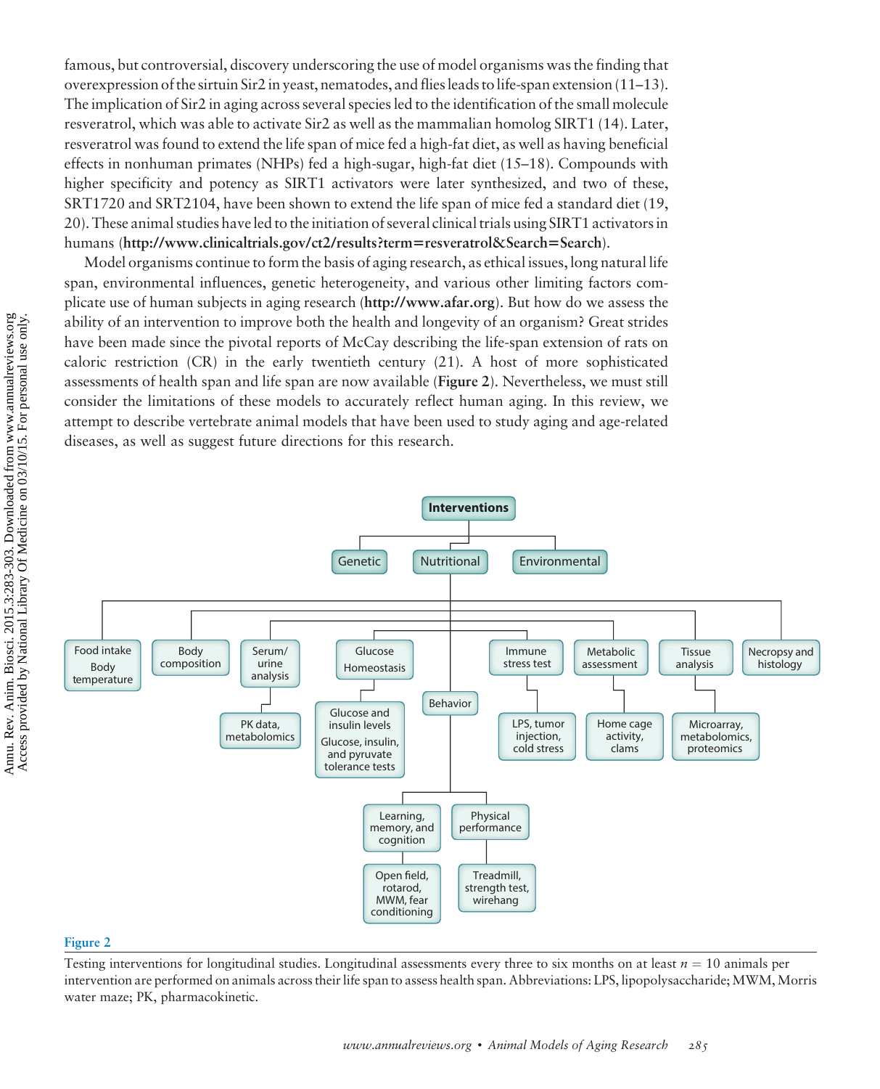famous, but controversial, discovery underscoring the use of model organisms was the finding that overexpression of the sirtuin Sir2 in yeast, nematodes, and flies leads to life-span extension (11–13). The implication of Sir2 in aging across several species led to the identification of the small molecule resveratrol, which was able to activate Sir2 as well as the mammalian homolog SIRT1 (14). Later, resveratrol was found to extend the life span of mice fed a high-fat diet, as well as having beneficial effects in nonhuman primates (NHPs) fed a high-sugar, high-fat diet (15–18). Compounds with higher specificity and potency as SIRT1 activators were later synthesized, and two of these, SRT1720 and SRT2104, have been shown to extend the life span of mice fed a standard diet (19, 20). These animal studies have led to the initiation of several clinical trials using SIRT1 activators in humans ([http://www.clinicaltrials.gov/ct2/results?term](http://www.clinicaltrials.gov/ct2/results?term=resveratrol&Search=Search)=[resveratrol&Search](http://www.clinicaltrials.gov/ct2/results?term=resveratrol&Search=Search)=[Search](http://www.clinicaltrials.gov/ct2/results?term=resveratrol&Search=Search)).

Model organisms continue to form the basis of aging research, as ethical issues, long natural life span, environmental influences, genetic heterogeneity, and various other limiting factors complicate use of human subjects in aging research (<http://www.afar.org>). But how do we assess the ability of an intervention to improve both the health and longevity of an organism? Great strides have been made since the pivotal reports of McCay describing the life-span extension of rats on caloric restriction (CR) in the early twentieth century (21). A host of more sophisticated assessments of health span and life span are now available (Figure 2). Nevertheless, we must still consider the limitations of these models to accurately reflect human aging. In this review, we attempt to describe vertebrate animal models that have been used to study aging and age-related diseases, as well as suggest future directions for this research.



#### Figure 2

Testing interventions for longitudinal studies. Longitudinal assessments every three to six months on at least  $n = 10$  animals per intervention are performed on animals across their life span to assess health span. Abbreviations: LPS, lipopolysaccharide; MWM,Morris water maze; PK, pharmacokinetic.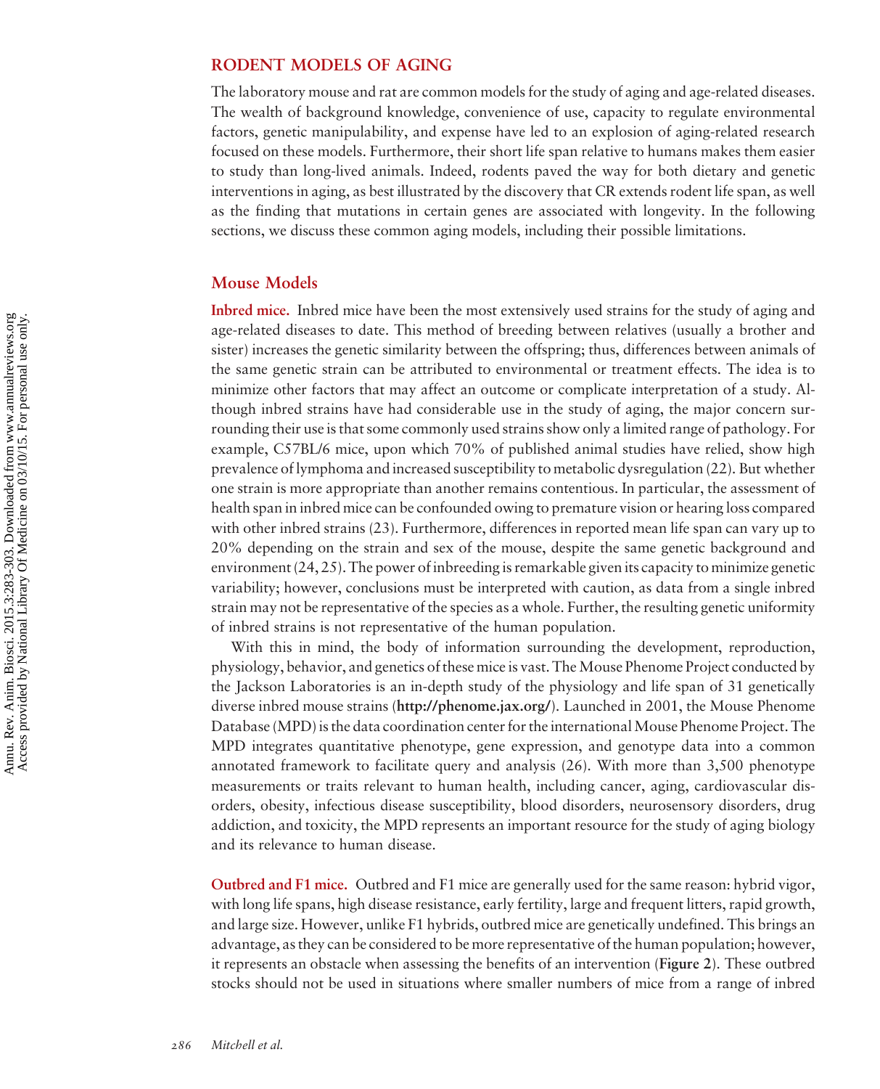#### RODENT MODELS OF AGING

The laboratory mouse and rat are common models for the study of aging and age-related diseases. The wealth of background knowledge, convenience of use, capacity to regulate environmental factors, genetic manipulability, and expense have led to an explosion of aging-related research focused on these models. Furthermore, their short life span relative to humans makes them easier to study than long-lived animals. Indeed, rodents paved the way for both dietary and genetic interventions in aging, as best illustrated by the discovery that CR extends rodent life span, as well as the finding that mutations in certain genes are associated with longevity. In the following sections, we discuss these common aging models, including their possible limitations.

#### Mouse Models

Inbred mice. Inbred mice have been the most extensively used strains for the study of aging and age-related diseases to date. This method of breeding between relatives (usually a brother and sister) increases the genetic similarity between the offspring; thus, differences between animals of the same genetic strain can be attributed to environmental or treatment effects. The idea is to minimize other factors that may affect an outcome or complicate interpretation of a study. Although inbred strains have had considerable use in the study of aging, the major concern surrounding their use is that some commonly used strains show only a limited range of pathology. For example, C57BL/6 mice, upon which 70% of published animal studies have relied, show high prevalence of lymphoma and increased susceptibility to metabolic dysregulation (22). But whether one strain is more appropriate than another remains contentious. In particular, the assessment of health span in inbred mice can be confounded owing to premature vision or hearing loss compared with other inbred strains (23). Furthermore, differences in reported mean life span can vary up to 20% depending on the strain and sex of the mouse, despite the same genetic background and environment (24, 25). The power of inbreeding is remarkable given its capacity to minimize genetic variability; however, conclusions must be interpreted with caution, as data from a single inbred strain may not be representative of the species as a whole. Further, the resulting genetic uniformity of inbred strains is not representative of the human population.

With this in mind, the body of information surrounding the development, reproduction, physiology, behavior, and genetics of these mice is vast. The Mouse Phenome Project conducted by the Jackson Laboratories is an in-depth study of the physiology and life span of 31 genetically diverse inbred mouse strains (<http://phenome.jax.org/>). Launched in 2001, the Mouse Phenome Database (MPD) is the data coordination center for the international Mouse Phenome Project. The MPD integrates quantitative phenotype, gene expression, and genotype data into a common annotated framework to facilitate query and analysis (26). With more than 3,500 phenotype measurements or traits relevant to human health, including cancer, aging, cardiovascular disorders, obesity, infectious disease susceptibility, blood disorders, neurosensory disorders, drug addiction, and toxicity, the MPD represents an important resource for the study of aging biology and its relevance to human disease.

Outbred and F1 mice. Outbred and F1 mice are generally used for the same reason: hybrid vigor, with long life spans, high disease resistance, early fertility, large and frequent litters, rapid growth, and large size. However, unlike F1 hybrids, outbred mice are genetically undefined. This brings an advantage, as they can be considered to be more representative of the human population; however, it represents an obstacle when assessing the benefits of an intervention (Figure 2). These outbred stocks should not be used in situations where smaller numbers of mice from a range of inbred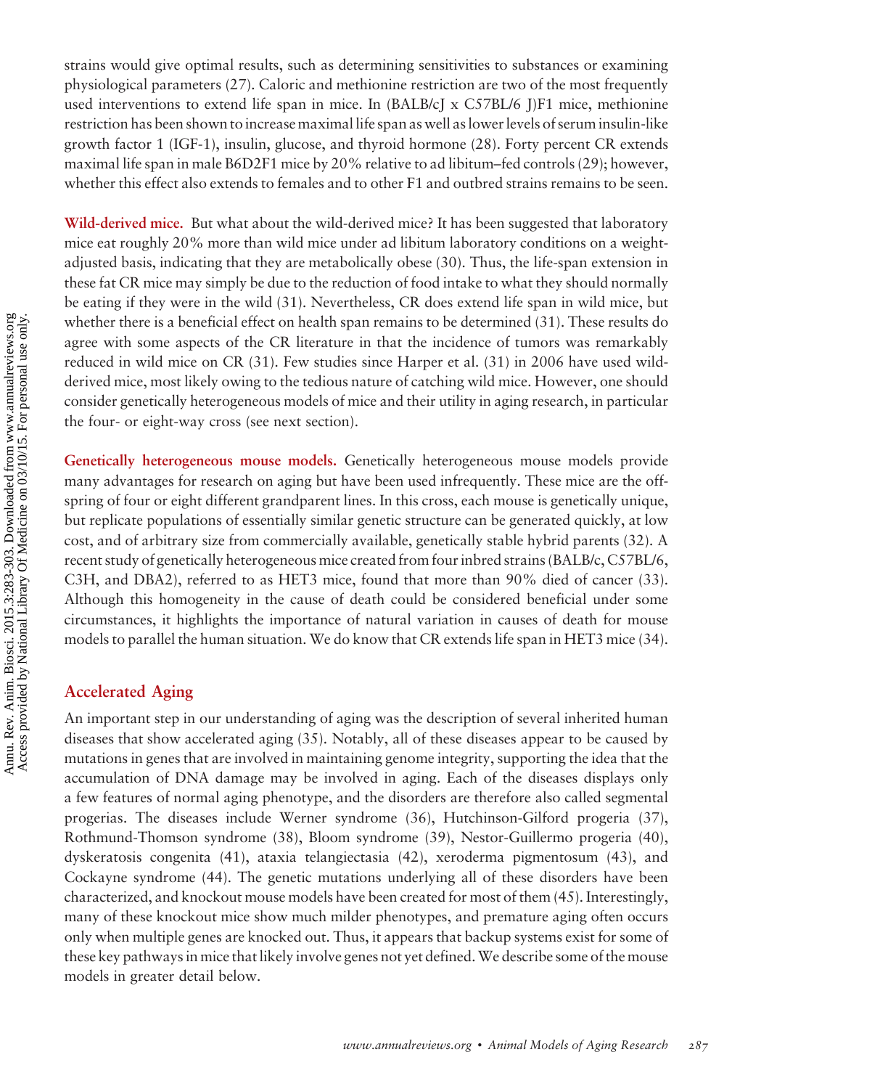strains would give optimal results, such as determining sensitivities to substances or examining physiological parameters (27). Caloric and methionine restriction are two of the most frequently used interventions to extend life span in mice. In (BALB/cJ x C57BL/6 J)F1 mice, methionine restriction has been shown to increase maximal life span as well as lower levels of serum insulin-like growth factor 1 (IGF-1), insulin, glucose, and thyroid hormone (28). Forty percent CR extends maximal life span in male B6D2F1 mice by 20% relative to ad libitum–fed controls (29); however, whether this effect also extends to females and to other F1 and outbred strains remains to be seen.

Wild-derived mice. But what about the wild-derived mice? It has been suggested that laboratory mice eat roughly 20% more than wild mice under ad libitum laboratory conditions on a weightadjusted basis, indicating that they are metabolically obese (30). Thus, the life-span extension in these fat CR mice may simply be due to the reduction of food intake to what they should normally be eating if they were in the wild (31). Nevertheless, CR does extend life span in wild mice, but whether there is a beneficial effect on health span remains to be determined (31). These results do agree with some aspects of the CR literature in that the incidence of tumors was remarkably reduced in wild mice on CR (31). Few studies since Harper et al. (31) in 2006 have used wildderived mice, most likely owing to the tedious nature of catching wild mice. However, one should consider genetically heterogeneous models of mice and their utility in aging research, in particular the four- or eight-way cross (see next section).

Genetically heterogeneous mouse models. Genetically heterogeneous mouse models provide many advantages for research on aging but have been used infrequently. These mice are the offspring of four or eight different grandparent lines. In this cross, each mouse is genetically unique, but replicate populations of essentially similar genetic structure can be generated quickly, at low cost, and of arbitrary size from commercially available, genetically stable hybrid parents (32). A recent study of genetically heterogeneous mice created from four inbred strains (BALB/c, C57BL/6, C3H, and DBA2), referred to as HET3 mice, found that more than 90% died of cancer (33). Although this homogeneity in the cause of death could be considered beneficial under some circumstances, it highlights the importance of natural variation in causes of death for mouse models to parallel the human situation. We do know that CR extends life span in HET3 mice (34).

#### Accelerated Aging

An important step in our understanding of aging was the description of several inherited human diseases that show accelerated aging (35). Notably, all of these diseases appear to be caused by mutations in genes that are involved in maintaining genome integrity, supporting the idea that the accumulation of DNA damage may be involved in aging. Each of the diseases displays only a few features of normal aging phenotype, and the disorders are therefore also called segmental progerias. The diseases include Werner syndrome (36), Hutchinson-Gilford progeria (37), Rothmund-Thomson syndrome (38), Bloom syndrome (39), Nestor-Guillermo progeria (40), dyskeratosis congenita (41), ataxia telangiectasia (42), xeroderma pigmentosum (43), and Cockayne syndrome (44). The genetic mutations underlying all of these disorders have been characterized, and knockout mouse models have been created for most of them (45). Interestingly, many of these knockout mice show much milder phenotypes, and premature aging often occurs only when multiple genes are knocked out. Thus, it appears that backup systems exist for some of these key pathways in mice that likely involve genes not yet defined.We describe some of the mouse models in greater detail below.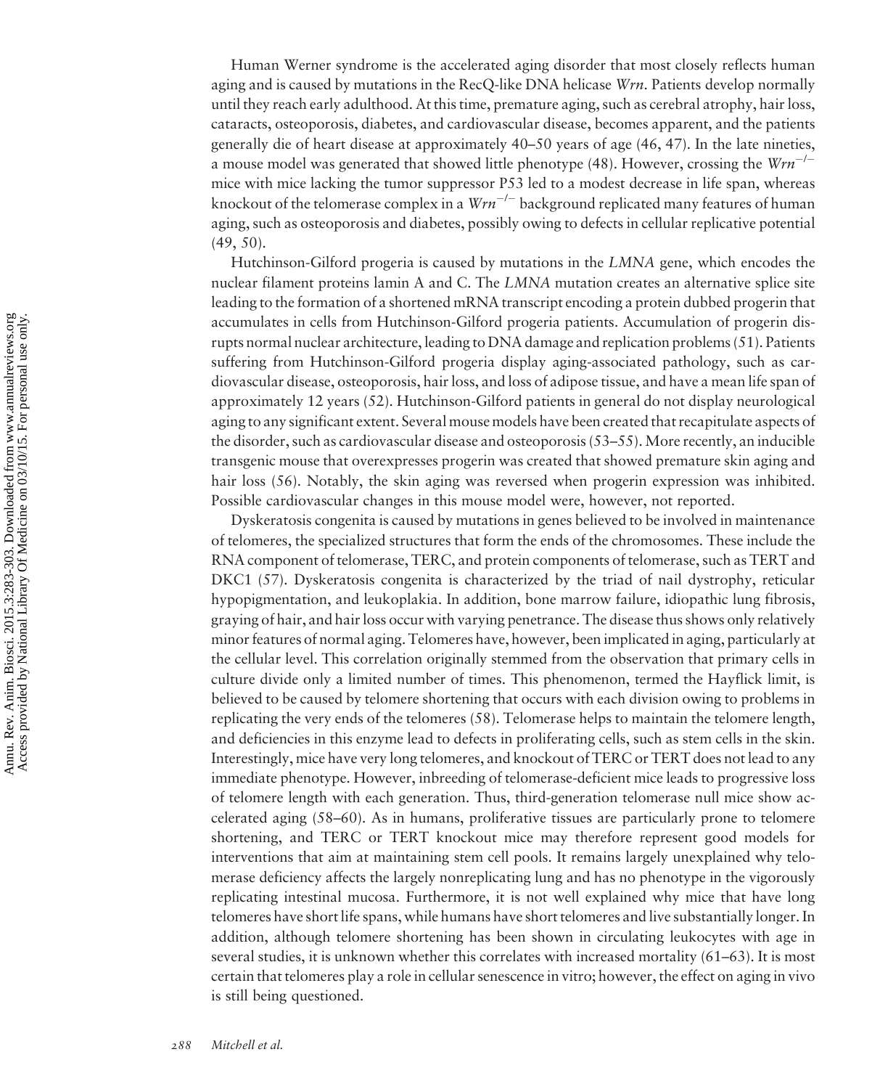Human Werner syndrome is the accelerated aging disorder that most closely reflects human aging and is caused by mutations in the RecQ-like DNA helicase  $Wrn$ . Patients develop normally until they reach early adulthood. At this time, premature aging, such as cerebral atrophy, hair loss, cataracts, osteoporosis, diabetes, and cardiovascular disease, becomes apparent, and the patients generally die of heart disease at approximately 40–50 years of age (46, 47). In the late nineties, a mouse model was generated that showed little phenotype (48). However, crossing the  $Wrn^{-1}$ mice with mice lacking the tumor suppressor P53 led to a modest decrease in life span, whereas knockout of the telomerase complex in a  $Wrn^{-/-}$  background replicated many features of human aging, such as osteoporosis and diabetes, possibly owing to defects in cellular replicative potential (49, 50).

Hutchinson-Gilford progeria is caused by mutations in the LMNA gene, which encodes the nuclear filament proteins lamin A and C. The LMNA mutation creates an alternative splice site leading to the formation of a shortened mRNA transcript encoding a protein dubbed progerin that accumulates in cells from Hutchinson-Gilford progeria patients. Accumulation of progerin disrupts normal nuclear architecture, leading to DNA damage and replication problems (51). Patients suffering from Hutchinson-Gilford progeria display aging-associated pathology, such as cardiovascular disease, osteoporosis, hair loss, and loss of adipose tissue, and have a mean life span of approximately 12 years (52). Hutchinson-Gilford patients in general do not display neurological aging to any significant extent. Several mouse models have been created that recapitulate aspects of the disorder, such as cardiovascular disease and osteoporosis (53–55). More recently, an inducible transgenic mouse that overexpresses progerin was created that showed premature skin aging and hair loss (56). Notably, the skin aging was reversed when progerin expression was inhibited. Possible cardiovascular changes in this mouse model were, however, not reported.

Dyskeratosis congenita is caused by mutations in genes believed to be involved in maintenance of telomeres, the specialized structures that form the ends of the chromosomes. These include the RNA component of telomerase, TERC, and protein components of telomerase, such as TERT and DKC1 (57). Dyskeratosis congenita is characterized by the triad of nail dystrophy, reticular hypopigmentation, and leukoplakia. In addition, bone marrow failure, idiopathic lung fibrosis, graying of hair, and hair loss occur with varying penetrance. The disease thus shows only relatively minor features of normal aging. Telomeres have, however, been implicated in aging, particularly at the cellular level. This correlation originally stemmed from the observation that primary cells in culture divide only a limited number of times. This phenomenon, termed the Hayflick limit, is believed to be caused by telomere shortening that occurs with each division owing to problems in replicating the very ends of the telomeres (58). Telomerase helps to maintain the telomere length, and deficiencies in this enzyme lead to defects in proliferating cells, such as stem cells in the skin. Interestingly, mice have very long telomeres, and knockout of TERC or TERT does not lead to any immediate phenotype. However, inbreeding of telomerase-deficient mice leads to progressive loss of telomere length with each generation. Thus, third-generation telomerase null mice show accelerated aging (58–60). As in humans, proliferative tissues are particularly prone to telomere shortening, and TERC or TERT knockout mice may therefore represent good models for interventions that aim at maintaining stem cell pools. It remains largely unexplained why telomerase deficiency affects the largely nonreplicating lung and has no phenotype in the vigorously replicating intestinal mucosa. Furthermore, it is not well explained why mice that have long telomeres have short life spans, while humans have short telomeres and live substantially longer. In addition, although telomere shortening has been shown in circulating leukocytes with age in several studies, it is unknown whether this correlates with increased mortality (61–63). It is most certain that telomeres play a role in cellular senescence in vitro; however, the effect on aging in vivo is still being questioned.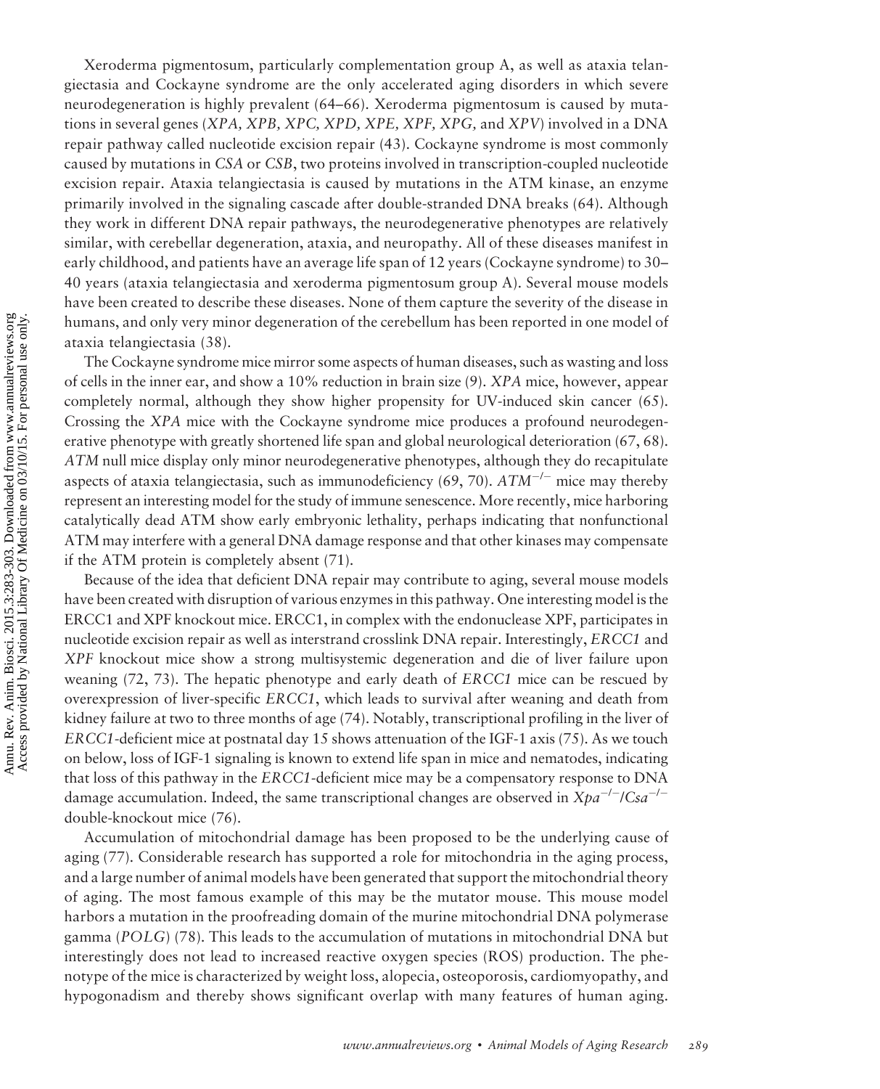Xeroderma pigmentosum, particularly complementation group A, as well as ataxia telangiectasia and Cockayne syndrome are the only accelerated aging disorders in which severe neurodegeneration is highly prevalent (64–66). Xeroderma pigmentosum is caused by mutations in several genes (XPA, XPB, XPC, XPD, XPE, XPF, XPG, and XPV) involved in a DNA repair pathway called nucleotide excision repair (43). Cockayne syndrome is most commonly caused by mutations in CSA or CSB, two proteins involved in transcription-coupled nucleotide excision repair. Ataxia telangiectasia is caused by mutations in the ATM kinase, an enzyme primarily involved in the signaling cascade after double-stranded DNA breaks (64). Although they work in different DNA repair pathways, the neurodegenerative phenotypes are relatively similar, with cerebellar degeneration, ataxia, and neuropathy. All of these diseases manifest in early childhood, and patients have an average life span of 12 years (Cockayne syndrome) to 30– 40 years (ataxia telangiectasia and xeroderma pigmentosum group A). Several mouse models have been created to describe these diseases. None of them capture the severity of the disease in humans, and only very minor degeneration of the cerebellum has been reported in one model of ataxia telangiectasia (38).

The Cockayne syndrome mice mirror some aspects of human diseases, such as wasting and loss of cells in the inner ear, and show a 10% reduction in brain size (9). XPA mice, however, appear completely normal, although they show higher propensity for UV-induced skin cancer (65). Crossing the XPA mice with the Cockayne syndrome mice produces a profound neurodegenerative phenotype with greatly shortened life span and global neurological deterioration (67, 68). ATM null mice display only minor neurodegenerative phenotypes, although they do recapitulate aspects of ataxia telangiectasia, such as immunodeficiency (69, 70).  $ATM^{-/-}$  mice may thereby represent an interesting model for the study of immune senescence. More recently, mice harboring catalytically dead ATM show early embryonic lethality, perhaps indicating that nonfunctional ATM may interfere with a general DNA damage response and that other kinases may compensate if the ATM protein is completely absent (71).

Because of the idea that deficient DNA repair may contribute to aging, several mouse models have been created with disruption of various enzymes in this pathway. One interesting model is the ERCC1 and XPF knockout mice. ERCC1, in complex with the endonuclease XPF, participates in nucleotide excision repair as well as interstrand crosslink DNA repair. Interestingly, ERCC1 and XPF knockout mice show a strong multisystemic degeneration and die of liver failure upon weaning (72, 73). The hepatic phenotype and early death of ERCC1 mice can be rescued by overexpression of liver-specific ERCC1, which leads to survival after weaning and death from kidney failure at two to three months of age (74). Notably, transcriptional profiling in the liver of ERCC1-deficient mice at postnatal day 15 shows attenuation of the IGF-1 axis (75). As we touch on below, loss of IGF-1 signaling is known to extend life span in mice and nematodes, indicating that loss of this pathway in the ERCC1-deficient mice may be a compensatory response to DNA damage accumulation. Indeed, the same transcriptional changes are observed in  $Xpa^{-/-}/Csa^{-/-}$ double-knockout mice (76).

Accumulation of mitochondrial damage has been proposed to be the underlying cause of aging (77). Considerable research has supported a role for mitochondria in the aging process, and a large number of animal models have been generated that support the mitochondrial theory of aging. The most famous example of this may be the mutator mouse. This mouse model harbors a mutation in the proofreading domain of the murine mitochondrial DNA polymerase gamma (POLG) (78). This leads to the accumulation of mutations in mitochondrial DNA but interestingly does not lead to increased reactive oxygen species (ROS) production. The phenotype of the mice is characterized by weight loss, alopecia, osteoporosis, cardiomyopathy, and hypogonadism and thereby shows significant overlap with many features of human aging.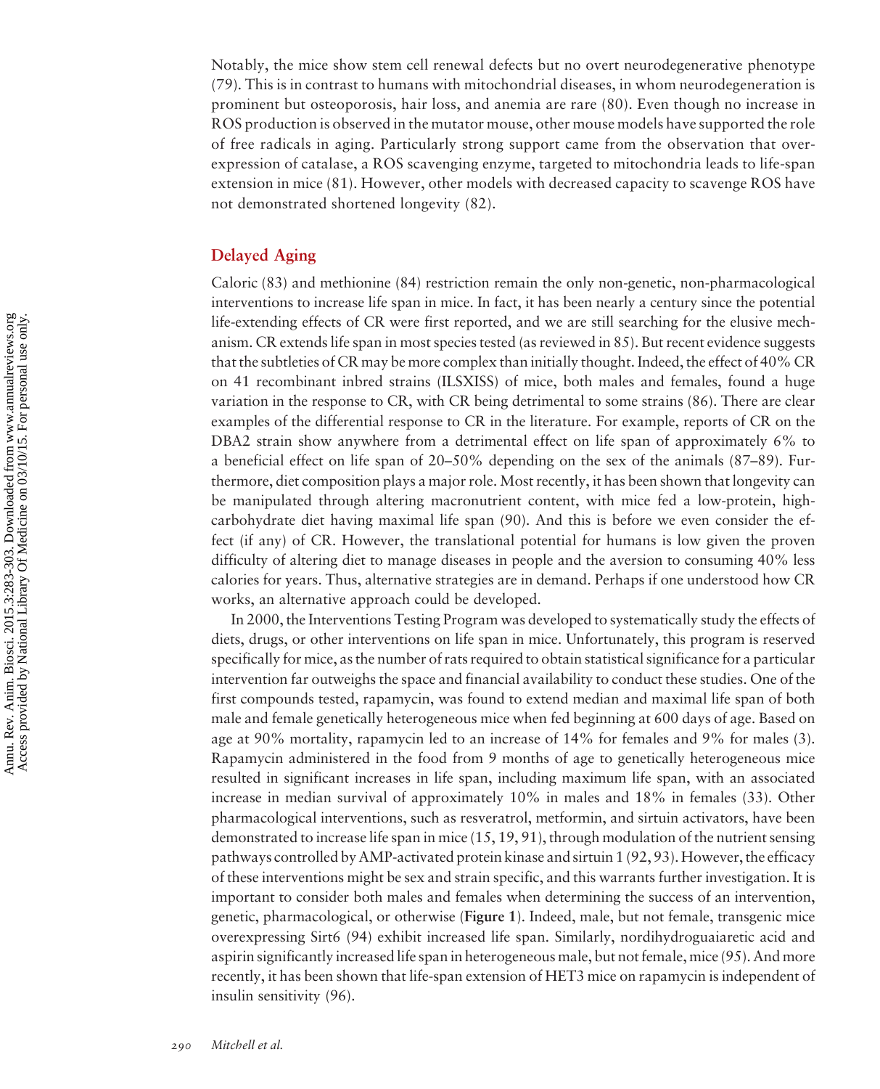Notably, the mice show stem cell renewal defects but no overt neurodegenerative phenotype (79). This is in contrast to humans with mitochondrial diseases, in whom neurodegeneration is prominent but osteoporosis, hair loss, and anemia are rare (80). Even though no increase in ROS production is observed in the mutator mouse, other mouse models have supported the role of free radicals in aging. Particularly strong support came from the observation that overexpression of catalase, a ROS scavenging enzyme, targeted to mitochondria leads to life-span extension in mice (81). However, other models with decreased capacity to scavenge ROS have not demonstrated shortened longevity (82).

#### Delayed Aging

Caloric (83) and methionine (84) restriction remain the only non-genetic, non-pharmacological interventions to increase life span in mice. In fact, it has been nearly a century since the potential life-extending effects of CR were first reported, and we are still searching for the elusive mechanism. CR extends life span in most species tested (as reviewed in 85). But recent evidence suggests that the subtleties of CR may be more complex than initially thought. Indeed, the effect of 40% CR on 41 recombinant inbred strains (ILSXISS) of mice, both males and females, found a huge variation in the response to CR, with CR being detrimental to some strains (86). There are clear examples of the differential response to CR in the literature. For example, reports of CR on the DBA2 strain show anywhere from a detrimental effect on life span of approximately 6% to a beneficial effect on life span of 20–50% depending on the sex of the animals (87–89). Furthermore, diet composition plays a major role. Most recently, it has been shown that longevity can be manipulated through altering macronutrient content, with mice fed a low-protein, highcarbohydrate diet having maximal life span (90). And this is before we even consider the effect (if any) of CR. However, the translational potential for humans is low given the proven difficulty of altering diet to manage diseases in people and the aversion to consuming 40% less calories for years. Thus, alternative strategies are in demand. Perhaps if one understood how CR works, an alternative approach could be developed.

In 2000, the Interventions Testing Program was developed to systematically study the effects of diets, drugs, or other interventions on life span in mice. Unfortunately, this program is reserved specifically for mice, as the number of rats required to obtain statistical significance for a particular intervention far outweighs the space and financial availability to conduct these studies. One of the first compounds tested, rapamycin, was found to extend median and maximal life span of both male and female genetically heterogeneous mice when fed beginning at 600 days of age. Based on age at 90% mortality, rapamycin led to an increase of 14% for females and 9% for males (3). Rapamycin administered in the food from 9 months of age to genetically heterogeneous mice resulted in significant increases in life span, including maximum life span, with an associated increase in median survival of approximately 10% in males and 18% in females (33). Other pharmacological interventions, such as resveratrol, metformin, and sirtuin activators, have been demonstrated to increase life span in mice (15, 19, 91), through modulation of the nutrient sensing pathways controlled by AMP-activated protein kinase and sirtuin 1 (92, 93). However, the efficacy of these interventions might be sex and strain specific, and this warrants further investigation. It is important to consider both males and females when determining the success of an intervention, genetic, pharmacological, or otherwise (Figure 1). Indeed, male, but not female, transgenic mice overexpressing Sirt6 (94) exhibit increased life span. Similarly, nordihydroguaiaretic acid and aspirin significantly increased life span in heterogeneous male, but not female, mice (95). And more recently, it has been shown that life-span extension of HET3 mice on rapamycin is independent of insulin sensitivity (96).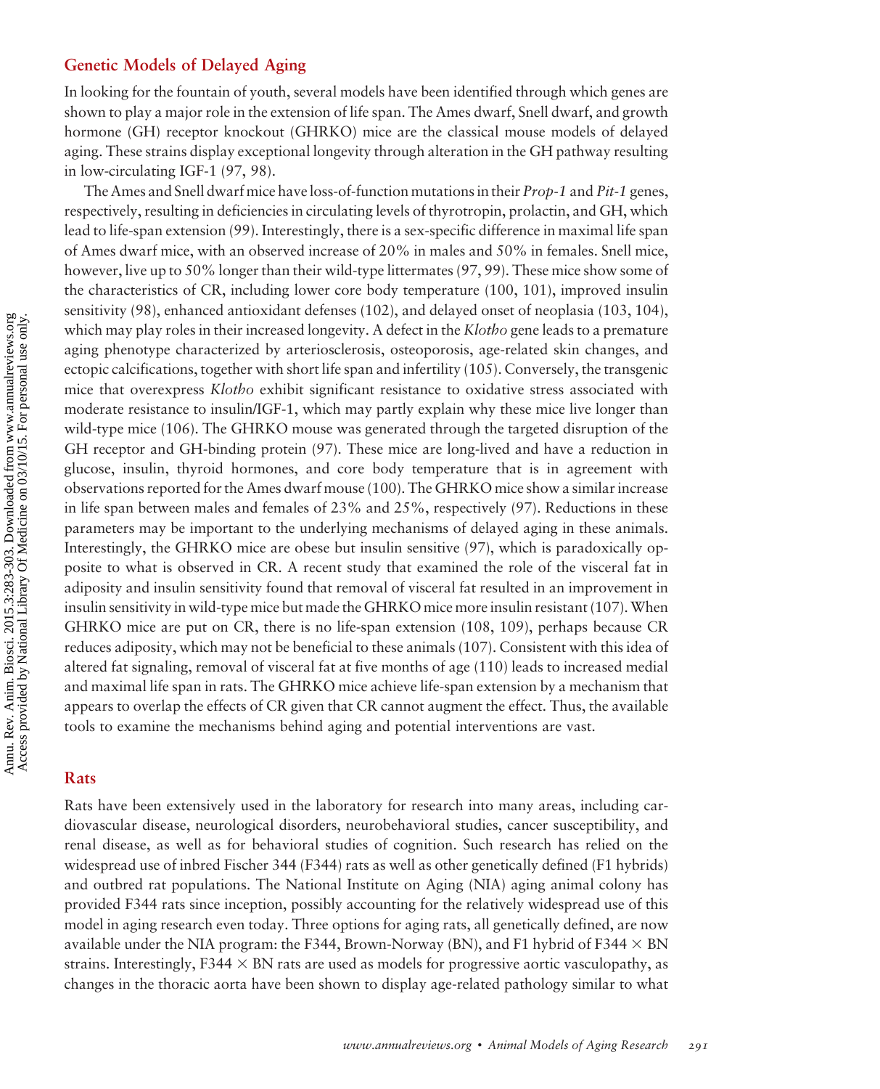#### Genetic Models of Delayed Aging

In looking for the fountain of youth, several models have been identified through which genes are shown to play a major role in the extension of life span. The Ames dwarf, Snell dwarf, and growth hormone (GH) receptor knockout (GHRKO) mice are the classical mouse models of delayed aging. These strains display exceptional longevity through alteration in the GH pathway resulting in low-circulating IGF-1 (97, 98).

The Ames and Snell dwarf mice have loss-of-function mutations in their Prop-1 and Pit-1 genes, respectively, resulting in deficiencies in circulating levels of thyrotropin, prolactin, and GH, which lead to life-span extension (99). Interestingly, there is a sex-specific difference in maximal life span of Ames dwarf mice, with an observed increase of 20% in males and 50% in females. Snell mice, however, live up to 50% longer than their wild-type littermates (97, 99). These mice show some of the characteristics of CR, including lower core body temperature (100, 101), improved insulin sensitivity (98), enhanced antioxidant defenses (102), and delayed onset of neoplasia (103, 104), which may play roles in their increased longevity. A defect in the *Klotho* gene leads to a premature aging phenotype characterized by arteriosclerosis, osteoporosis, age-related skin changes, and ectopic calcifications, together with short life span and infertility (105). Conversely, the transgenic mice that overexpress Klotho exhibit significant resistance to oxidative stress associated with moderate resistance to insulin/IGF-1, which may partly explain why these mice live longer than wild-type mice (106). The GHRKO mouse was generated through the targeted disruption of the GH receptor and GH-binding protein (97). These mice are long-lived and have a reduction in glucose, insulin, thyroid hormones, and core body temperature that is in agreement with observations reported for the Ames dwarf mouse (100). The GHRKO mice show a similar increase in life span between males and females of  $23\%$  and  $25\%$ , respectively (97). Reductions in these parameters may be important to the underlying mechanisms of delayed aging in these animals. Interestingly, the GHRKO mice are obese but insulin sensitive (97), which is paradoxically opposite to what is observed in CR. A recent study that examined the role of the visceral fat in adiposity and insulin sensitivity found that removal of visceral fat resulted in an improvement in insulin sensitivity in wild-type mice but made the GHRKO mice more insulin resistant (107).When GHRKO mice are put on CR, there is no life-span extension (108, 109), perhaps because CR reduces adiposity, which may not be beneficial to these animals (107). Consistent with this idea of altered fat signaling, removal of visceral fat at five months of age (110) leads to increased medial and maximal life span in rats. The GHRKO mice achieve life-span extension by a mechanism that appears to overlap the effects of CR given that CR cannot augment the effect. Thus, the available tools to examine the mechanisms behind aging and potential interventions are vast.

#### Rats

Rats have been extensively used in the laboratory for research into many areas, including cardiovascular disease, neurological disorders, neurobehavioral studies, cancer susceptibility, and renal disease, as well as for behavioral studies of cognition. Such research has relied on the widespread use of inbred Fischer 344 (F344) rats as well as other genetically defined (F1 hybrids) and outbred rat populations. The National Institute on Aging (NIA) aging animal colony has provided F344 rats since inception, possibly accounting for the relatively widespread use of this model in aging research even today. Three options for aging rats, all genetically defined, are now available under the NIA program: the F344, Brown-Norway (BN), and F1 hybrid of F344  $\times$  BN strains. Interestingly,  $F344 \times BN$  rats are used as models for progressive aortic vasculopathy, as changes in the thoracic aorta have been shown to display age-related pathology similar to what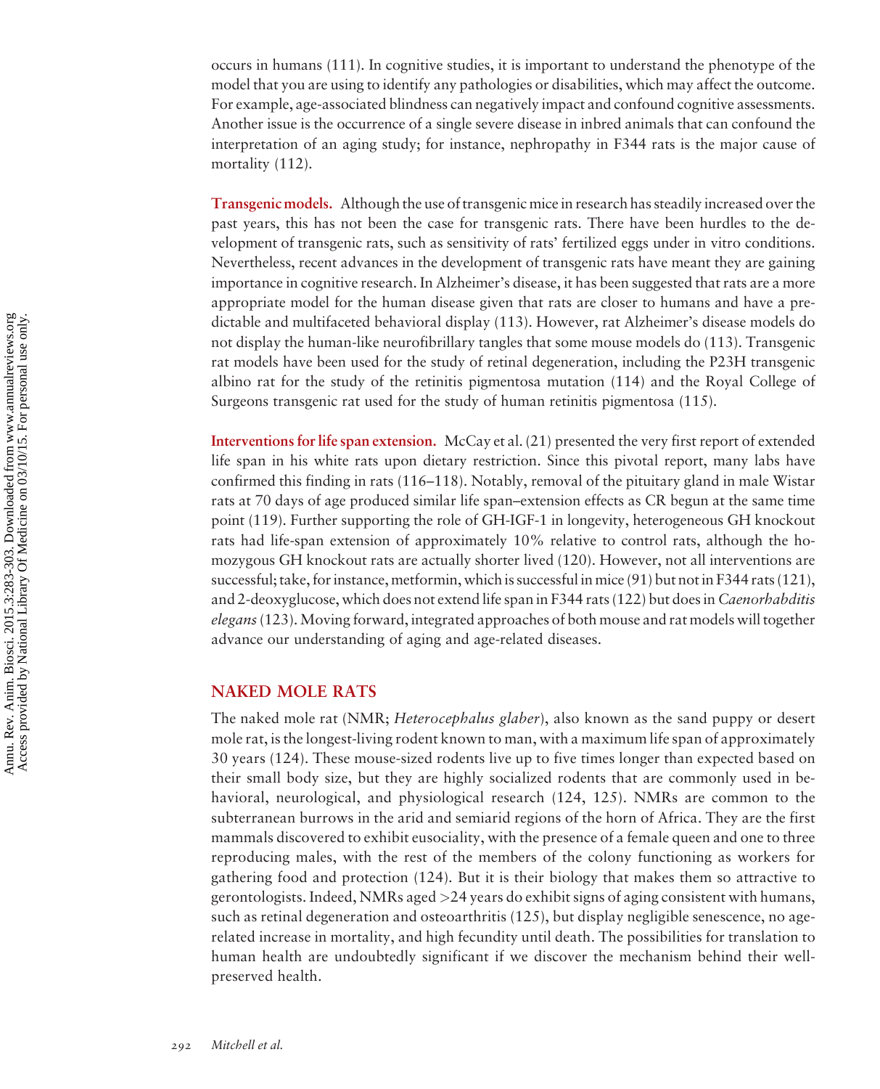occurs in humans (111). In cognitive studies, it is important to understand the phenotype of the model that you are using to identify any pathologies or disabilities, which may affect the outcome. For example, age-associated blindness can negatively impact and confound cognitive assessments. Another issue is the occurrence of a single severe disease in inbred animals that can confound the interpretation of an aging study; for instance, nephropathy in F344 rats is the major cause of mortality (112).

Transgenic models. Although the use of transgenic mice in research has steadily increased over the past years, this has not been the case for transgenic rats. There have been hurdles to the development of transgenic rats, such as sensitivity of rats' fertilized eggs under in vitro conditions. Nevertheless, recent advances in the development of transgenic rats have meant they are gaining importance in cognitive research. In Alzheimer's disease, it has been suggested that rats are a more appropriate model for the human disease given that rats are closer to humans and have a predictable and multifaceted behavioral display (113). However, rat Alzheimer's disease models do not display the human-like neurofibrillary tangles that some mouse models do (113). Transgenic rat models have been used for the study of retinal degeneration, including the P23H transgenic albino rat for the study of the retinitis pigmentosa mutation (114) and the Royal College of Surgeons transgenic rat used for the study of human retinitis pigmentosa (115).

Interventions for life span extension. McCay et al. (21) presented the very first report of extended life span in his white rats upon dietary restriction. Since this pivotal report, many labs have confirmed this finding in rats (116–118). Notably, removal of the pituitary gland in male Wistar rats at 70 days of age produced similar life span–extension effects as CR begun at the same time point (119). Further supporting the role of GH-IGF-1 in longevity, heterogeneous GH knockout rats had life-span extension of approximately 10% relative to control rats, although the homozygous GH knockout rats are actually shorter lived (120). However, not all interventions are successful; take, for instance, metformin, which is successful in mice (91) but not in F344 rats (121), and 2-deoxyglucose, which does not extend life span in F344 rats (122) but does in Caenorhabditis elegans (123). Moving forward, integrated approaches of both mouse and rat models will together advance our understanding of aging and age-related diseases.

#### NAKED MOLE RATS

The naked mole rat (NMR; *Heterocephalus glaber*), also known as the sand puppy or desert mole rat, is the longest-living rodent known to man, with a maximum life span of approximately 30 years (124). These mouse-sized rodents live up to five times longer than expected based on their small body size, but they are highly socialized rodents that are commonly used in behavioral, neurological, and physiological research (124, 125). NMRs are common to the subterranean burrows in the arid and semiarid regions of the horn of Africa. They are the first mammals discovered to exhibit eusociality, with the presence of a female queen and one to three reproducing males, with the rest of the members of the colony functioning as workers for gathering food and protection (124). But it is their biology that makes them so attractive to gerontologists. Indeed, NMRs aged >24 years do exhibit signs of aging consistent with humans, such as retinal degeneration and osteoarthritis (125), but display negligible senescence, no agerelated increase in mortality, and high fecundity until death. The possibilities for translation to human health are undoubtedly significant if we discover the mechanism behind their wellpreserved health.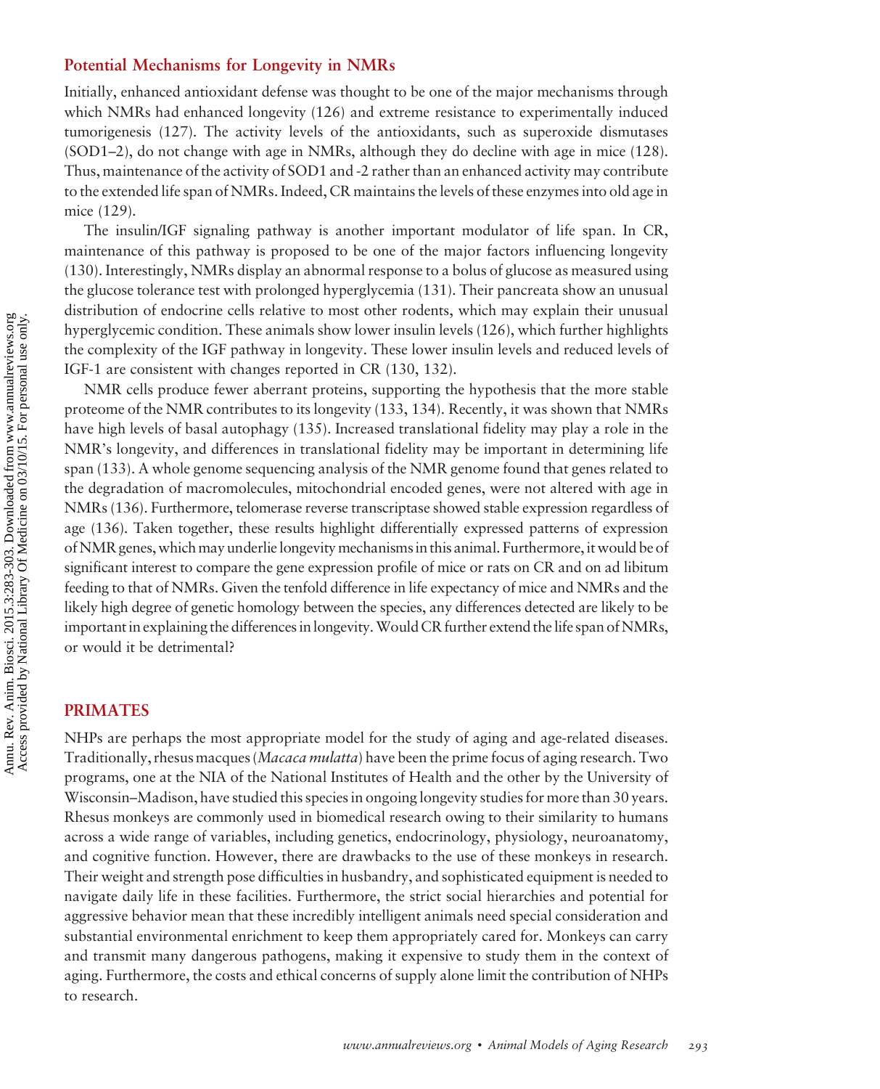#### Potential Mechanisms for Longevity in NMRs

Initially, enhanced antioxidant defense was thought to be one of the major mechanisms through which NMRs had enhanced longevity (126) and extreme resistance to experimentally induced tumorigenesis (127). The activity levels of the antioxidants, such as superoxide dismutases (SOD1–2), do not change with age in NMRs, although they do decline with age in mice (128). Thus, maintenance of the activity of SOD1 and -2 rather than an enhanced activity may contribute to the extended life span of NMRs. Indeed, CR maintains the levels of these enzymes into old age in mice (129).

The insulin/IGF signaling pathway is another important modulator of life span. In CR, maintenance of this pathway is proposed to be one of the major factors influencing longevity (130). Interestingly, NMRs display an abnormal response to a bolus of glucose as measured using the glucose tolerance test with prolonged hyperglycemia (131). Their pancreata show an unusual distribution of endocrine cells relative to most other rodents, which may explain their unusual hyperglycemic condition. These animals show lower insulin levels (126), which further highlights the complexity of the IGF pathway in longevity. These lower insulin levels and reduced levels of IGF-1 are consistent with changes reported in CR (130, 132).

NMR cells produce fewer aberrant proteins, supporting the hypothesis that the more stable proteome of the NMR contributes to its longevity (133, 134). Recently, it was shown that NMRs have high levels of basal autophagy (135). Increased translational fidelity may play a role in the NMR's longevity, and differences in translational fidelity may be important in determining life span (133). A whole genome sequencing analysis of the NMR genome found that genes related to the degradation of macromolecules, mitochondrial encoded genes, were not altered with age in NMRs (136). Furthermore, telomerase reverse transcriptase showed stable expression regardless of age (136). Taken together, these results highlight differentially expressed patterns of expression ofNMR genes, which may underlie longevity mechanismsin this animal. Furthermore, it would be of significant interest to compare the gene expression profile of mice or rats on CR and on ad libitum feeding to that of NMRs. Given the tenfold difference in life expectancy of mice and NMRs and the likely high degree of genetic homology between the species, any differences detected are likely to be important in explaining the differences inlongevity.Would CR further extend the life span ofNMRs, or would it be detrimental?

#### PRIMATES

NHPs are perhaps the most appropriate model for the study of aging and age-related diseases. Traditionally, rhesus macques (*Macaca mulatta*) have been the prime focus of aging research. Two programs, one at the NIA of the National Institutes of Health and the other by the University of Wisconsin–Madison, have studied this species in ongoing longevity studies for more than 30 years. Rhesus monkeys are commonly used in biomedical research owing to their similarity to humans across a wide range of variables, including genetics, endocrinology, physiology, neuroanatomy, and cognitive function. However, there are drawbacks to the use of these monkeys in research. Their weight and strength pose difficulties in husbandry, and sophisticated equipment is needed to navigate daily life in these facilities. Furthermore, the strict social hierarchies and potential for aggressive behavior mean that these incredibly intelligent animals need special consideration and substantial environmental enrichment to keep them appropriately cared for. Monkeys can carry and transmit many dangerous pathogens, making it expensive to study them in the context of aging. Furthermore, the costs and ethical concerns of supply alone limit the contribution of NHPs to research.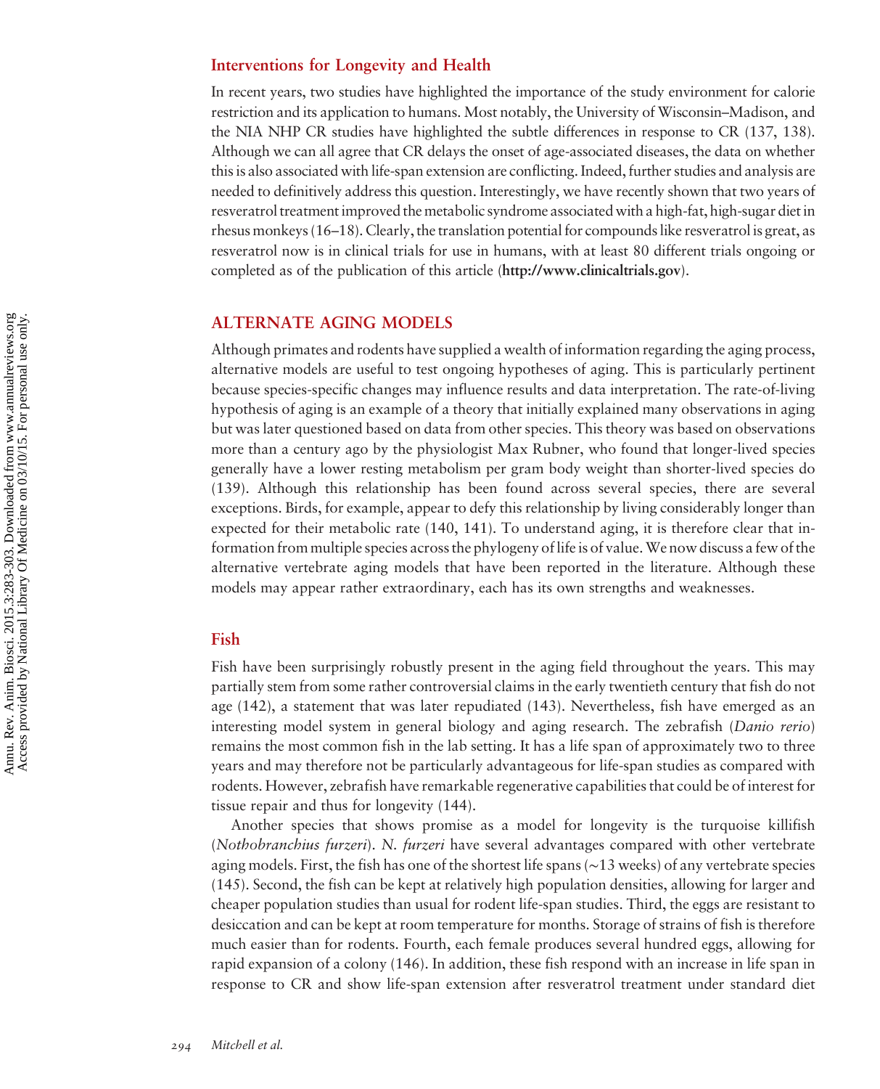#### Interventions for Longevity and Health

In recent years, two studies have highlighted the importance of the study environment for calorie restriction and its application to humans. Most notably, the University of Wisconsin–Madison, and the NIA NHP CR studies have highlighted the subtle differences in response to CR (137, 138). Although we can all agree that CR delays the onset of age-associated diseases, the data on whether this is also associated with life-span extension are conflicting. Indeed, further studies and analysis are needed to definitively address this question. Interestingly, we have recently shown that two years of resveratrol treatment improved the metabolic syndrome associated with a high-fat, high-sugar diet in rhesus monkeys (16–18). Clearly, the translation potential for compounds like resveratrol is great, as resveratrol now is in clinical trials for use in humans, with at least 80 different trials ongoing or completed as of the publication of this article (<http://www.clinicaltrials.gov>).

#### ALTERNATE AGING MODELS

Although primates and rodents have supplied a wealth of information regarding the aging process, alternative models are useful to test ongoing hypotheses of aging. This is particularly pertinent because species-specific changes may influence results and data interpretation. The rate-of-living hypothesis of aging is an example of a theory that initially explained many observations in aging but was later questioned based on data from other species. This theory was based on observations more than a century ago by the physiologist Max Rubner, who found that longer-lived species generally have a lower resting metabolism per gram body weight than shorter-lived species do (139). Although this relationship has been found across several species, there are several exceptions. Birds, for example, appear to defy this relationship by living considerably longer than expected for their metabolic rate (140, 141). To understand aging, it is therefore clear that information from multiple species across the phylogeny of life is of value.We now discuss a few of the alternative vertebrate aging models that have been reported in the literature. Although these models may appear rather extraordinary, each has its own strengths and weaknesses.

#### Fish

Fish have been surprisingly robustly present in the aging field throughout the years. This may partially stem from some rather controversial claims in the early twentieth century that fish do not age (142), a statement that was later repudiated (143). Nevertheless, fish have emerged as an interesting model system in general biology and aging research. The zebrafish (Danio rerio) remains the most common fish in the lab setting. It has a life span of approximately two to three years and may therefore not be particularly advantageous for life-span studies as compared with rodents. However, zebrafish have remarkable regenerative capabilities that could be of interest for tissue repair and thus for longevity (144).

Another species that shows promise as a model for longevity is the turquoise killifish (Nothobranchius furzeri). N. furzeri have several advantages compared with other vertebrate aging models. First, the fish has one of the shortest life spans (∼13 weeks) of any vertebrate species (145). Second, the fish can be kept at relatively high population densities, allowing for larger and cheaper population studies than usual for rodent life-span studies. Third, the eggs are resistant to desiccation and can be kept at room temperature for months. Storage of strains of fish is therefore much easier than for rodents. Fourth, each female produces several hundred eggs, allowing for rapid expansion of a colony (146). In addition, these fish respond with an increase in life span in response to CR and show life-span extension after resveratrol treatment under standard diet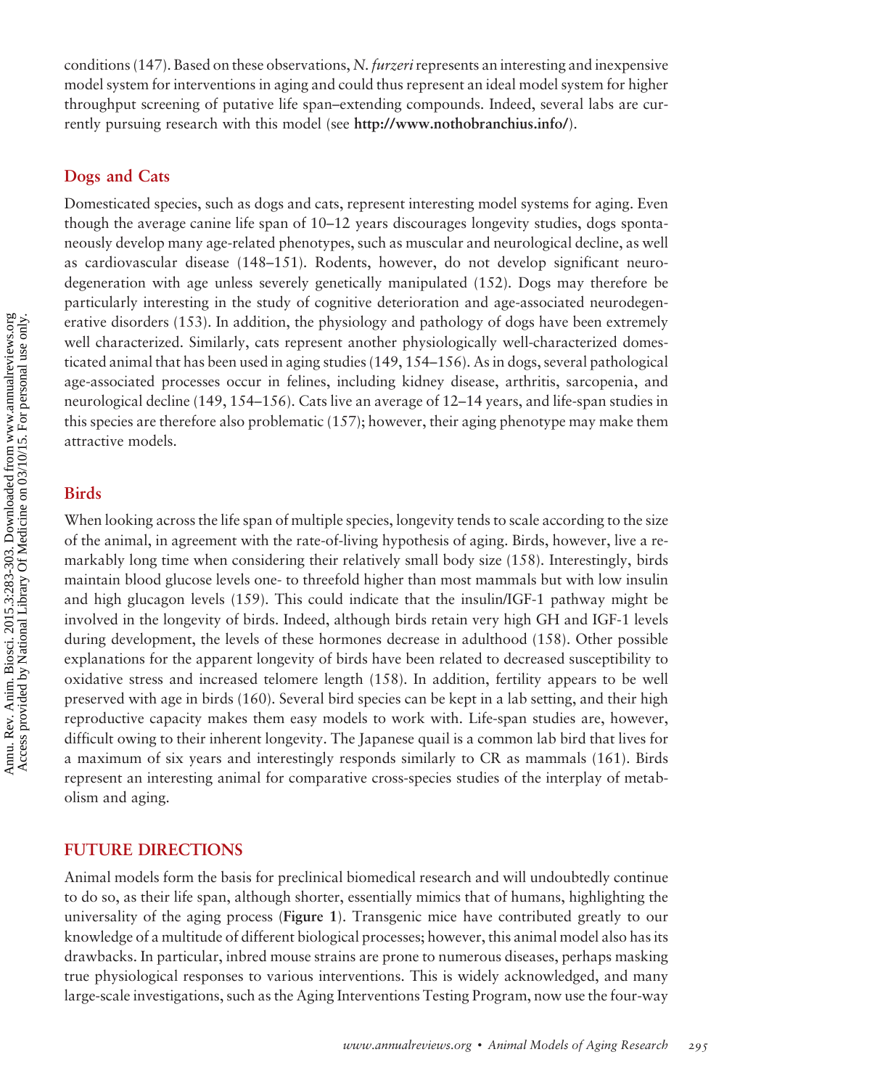conditions (147). Based on these observations, N. *furzeri* represents an interesting and inexpensive model system for interventions in aging and could thus represent an ideal model system for higher throughput screening of putative life span–extending compounds. Indeed, several labs are currently pursuing research with this model (see <http://www.nothobranchius.info/>).

#### Dogs and Cats

Domesticated species, such as dogs and cats, represent interesting model systems for aging. Even though the average canine life span of 10–12 years discourages longevity studies, dogs spontaneously develop many age-related phenotypes, such as muscular and neurological decline, as well as cardiovascular disease (148–151). Rodents, however, do not develop significant neurodegeneration with age unless severely genetically manipulated (152). Dogs may therefore be particularly interesting in the study of cognitive deterioration and age-associated neurodegenerative disorders (153). In addition, the physiology and pathology of dogs have been extremely well characterized. Similarly, cats represent another physiologically well-characterized domesticated animal that has been used in aging studies (149, 154–156). As in dogs, several pathological age-associated processes occur in felines, including kidney disease, arthritis, sarcopenia, and neurological decline (149, 154–156). Cats live an average of 12–14 years, and life-span studies in this species are therefore also problematic (157); however, their aging phenotype may make them attractive models.

#### **Birds**

When looking across the life span of multiple species, longevity tends to scale according to the size of the animal, in agreement with the rate-of-living hypothesis of aging. Birds, however, live a remarkably long time when considering their relatively small body size (158). Interestingly, birds maintain blood glucose levels one- to threefold higher than most mammals but with low insulin and high glucagon levels (159). This could indicate that the insulin/IGF-1 pathway might be involved in the longevity of birds. Indeed, although birds retain very high GH and IGF-1 levels during development, the levels of these hormones decrease in adulthood (158). Other possible explanations for the apparent longevity of birds have been related to decreased susceptibility to oxidative stress and increased telomere length (158). In addition, fertility appears to be well preserved with age in birds (160). Several bird species can be kept in a lab setting, and their high reproductive capacity makes them easy models to work with. Life-span studies are, however, difficult owing to their inherent longevity. The Japanese quail is a common lab bird that lives for a maximum of six years and interestingly responds similarly to CR as mammals (161). Birds represent an interesting animal for comparative cross-species studies of the interplay of metabolism and aging.

#### FUTURE DIRECTIONS

Animal models form the basis for preclinical biomedical research and will undoubtedly continue to do so, as their life span, although shorter, essentially mimics that of humans, highlighting the universality of the aging process (Figure 1). Transgenic mice have contributed greatly to our knowledge of a multitude of different biological processes; however, this animal model also has its drawbacks. In particular, inbred mouse strains are prone to numerous diseases, perhaps masking true physiological responses to various interventions. This is widely acknowledged, and many large-scale investigations, such as the Aging Interventions Testing Program, now use the four-way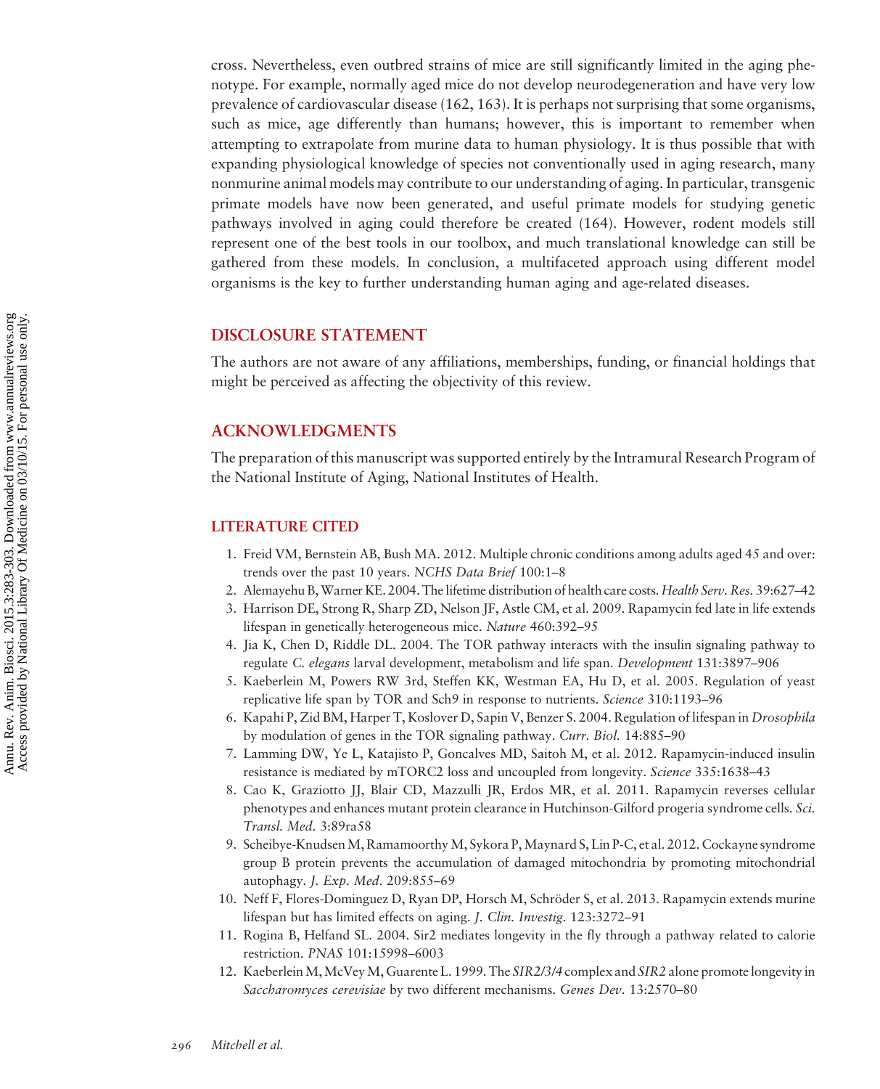cross. Nevertheless, even outbred strains of mice are still significantly limited in the aging phenotype. For example, normally aged mice do not develop neurodegeneration and have very low prevalence of cardiovascular disease (162, 163). It is perhaps not surprising that some organisms, such as mice, age differently than humans; however, this is important to remember when attempting to extrapolate from murine data to human physiology. It is thus possible that with expanding physiological knowledge of species not conventionally used in aging research, many nonmurine animal models may contribute to our understanding of aging. In particular, transgenic primate models have now been generated, and useful primate models for studying genetic pathways involved in aging could therefore be created (164). However, rodent models still represent one of the best tools in our toolbox, and much translational knowledge can still be gathered from these models. In conclusion, a multifaceted approach using different model organisms is the key to further understanding human aging and age-related diseases.

#### DISCLOSURE STATEMENT

The authors are not aware of any affiliations, memberships, funding, or financial holdings that might be perceived as affecting the objectivity of this review.

#### ACKNOWLEDGMENTS

The preparation of this manuscript was supported entirely by the Intramural Research Program of the National Institute of Aging, National Institutes of Health.

#### LITERATURE CITED

- 1. Freid VM, Bernstein AB, Bush MA. 2012. Multiple chronic conditions among adults aged 45 and over: trends over the past 10 years. NCHS Data Brief 100:1–8
- 2. Alemayehu B,Warner KE. 2004. The lifetime distribution of health care costs. Health Serv. Res. 39:627–42
- 3. Harrison DE, Strong R, Sharp ZD, Nelson JF, Astle CM, et al. 2009. Rapamycin fed late in life extends lifespan in genetically heterogeneous mice. Nature 460:392–95
- 4. Jia K, Chen D, Riddle DL. 2004. The TOR pathway interacts with the insulin signaling pathway to regulate C. elegans larval development, metabolism and life span. Development 131:3897–906
- 5. Kaeberlein M, Powers RW 3rd, Steffen KK, Westman EA, Hu D, et al. 2005. Regulation of yeast replicative life span by TOR and Sch9 in response to nutrients. Science 310:1193–96
- 6. Kapahi P, Zid BM, Harper T, Koslover D, Sapin V, Benzer S. 2004. Regulation of lifespan in Drosophila by modulation of genes in the TOR signaling pathway. Curr. Biol. 14:885–90
- 7. Lamming DW, Ye L, Katajisto P, Goncalves MD, Saitoh M, et al. 2012. Rapamycin-induced insulin resistance is mediated by mTORC2 loss and uncoupled from longevity. *Science* 335:1638–43
- 8. Cao K, Graziotto JJ, Blair CD, Mazzulli JR, Erdos MR, et al. 2011. Rapamycin reverses cellular phenotypes and enhances mutant protein clearance in Hutchinson-Gilford progeria syndrome cells. Sci. Transl. Med. 3:89ra58
- 9. Scheibye-KnudsenM, Ramamoorthy M, Sykora P,Maynard S, Lin P-C, et al. 2012. Cockayne syndrome group B protein prevents the accumulation of damaged mitochondria by promoting mitochondrial autophagy. J. Exp. Med. 209:855–69
- 10. Neff F, Flores-Dominguez D, Ryan DP, Horsch M, Schröder S, et al. 2013. Rapamycin extends murine lifespan but has limited effects on aging. J. Clin. Investig. 123:3272–91
- 11. Rogina B, Helfand SL. 2004. Sir2 mediates longevity in the fly through a pathway related to calorie restriction. PNAS 101:15998–6003
- 12. KaeberleinM,McVeyM, Guarente L. 1999. The SIR2/3/4 complex and SIR2 alone promote longevity in Saccharomyces cerevisiae by two different mechanisms. Genes Dev. 13:2570–80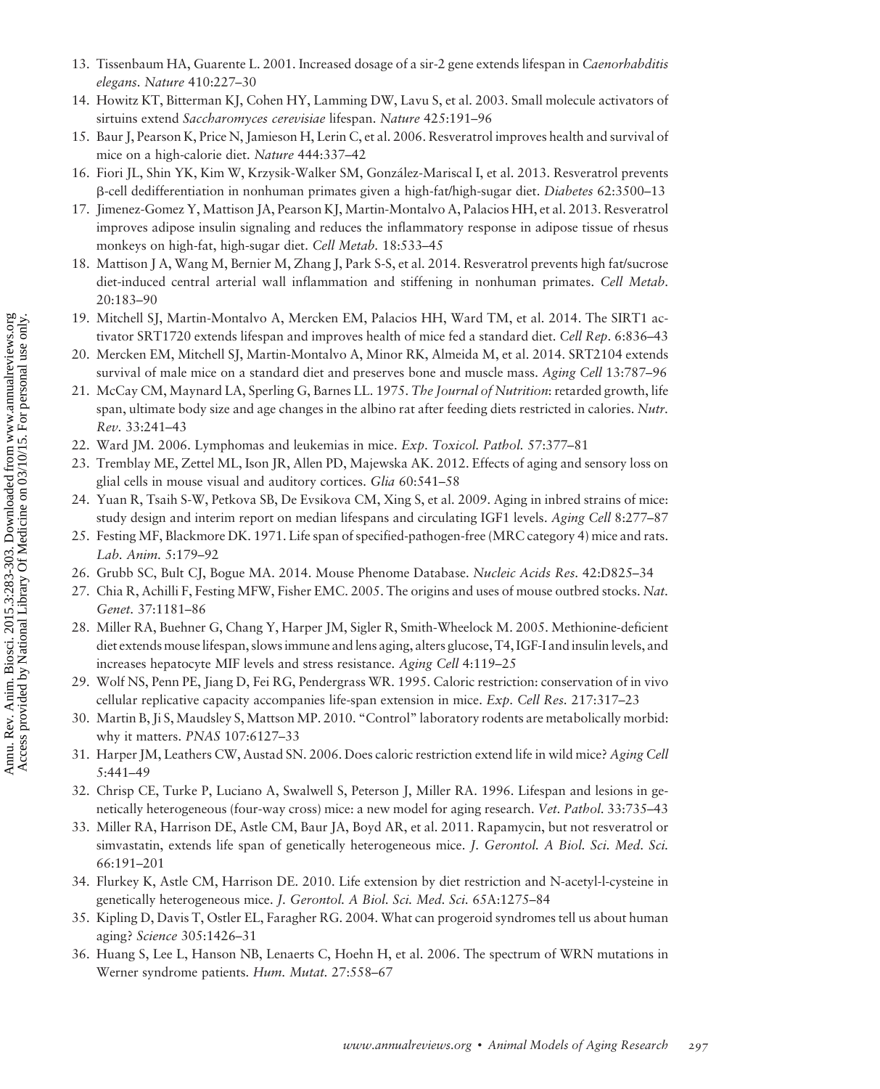- 13. Tissenbaum HA, Guarente L. 2001. Increased dosage of a sir-2 gene extends lifespan in Caenorhabditis elegans. Nature 410:227–30
- 14. Howitz KT, Bitterman KJ, Cohen HY, Lamming DW, Lavu S, et al. 2003. Small molecule activators of sirtuins extend Saccharomyces cerevisiae lifespan. Nature 425:191–96
- 15. Baur J, Pearson K, Price N, Jamieson H, Lerin C, et al. 2006. Resveratrol improves health and survival of mice on a high-calorie diet. Nature 444:337–42
- 16. Fiori JL, Shin YK, Kim W, Krzysik-Walker SM, González-Mariscal I, et al. 2013. Resveratrol prevents b-cell dedifferentiation in nonhuman primates given a high-fat/high-sugar diet. Diabetes 62:3500–13
- 17. Jimenez-Gomez Y, Mattison JA, Pearson KJ, Martin-Montalvo A, Palacios HH, et al. 2013. Resveratrol improves adipose insulin signaling and reduces the inflammatory response in adipose tissue of rhesus monkeys on high-fat, high-sugar diet. Cell Metab. 18:533–45
- 18. Mattison J A, Wang M, Bernier M, Zhang J, Park S-S, et al. 2014. Resveratrol prevents high fat/sucrose diet-induced central arterial wall inflammation and stiffening in nonhuman primates. Cell Metab. 20:183–90
- 19. Mitchell SJ, Martin-Montalvo A, Mercken EM, Palacios HH, Ward TM, et al. 2014. The SIRT1 activator SRT1720 extends lifespan and improves health of mice fed a standard diet. Cell Rep. 6:836–43
- 20. Mercken EM, Mitchell SJ, Martin-Montalvo A, Minor RK, Almeida M, et al. 2014. SRT2104 extends survival of male mice on a standard diet and preserves bone and muscle mass. Aging Cell 13:787–96
- 21. McCay CM, Maynard LA, Sperling G, Barnes LL. 1975. The Journal of Nutrition: retarded growth, life span, ultimate body size and age changes in the albino rat after feeding diets restricted in calories. Nutr. Rev. 33:241–43
- 22. Ward JM. 2006. Lymphomas and leukemias in mice. Exp. Toxicol. Pathol. 57:377–81
- 23. Tremblay ME, Zettel ML, Ison JR, Allen PD, Majewska AK. 2012. Effects of aging and sensory loss on glial cells in mouse visual and auditory cortices. Glia 60:541–58
- 24. Yuan R, Tsaih S-W, Petkova SB, De Evsikova CM, Xing S, et al. 2009. Aging in inbred strains of mice: study design and interim report on median lifespans and circulating IGF1 levels. Aging Cell 8:277–87
- 25. Festing MF, Blackmore DK. 1971. Life span of specified-pathogen-free (MRC category 4) mice and rats. Lab. Anim. 5:179–92
- 26. Grubb SC, Bult CJ, Bogue MA. 2014. Mouse Phenome Database. Nucleic Acids Res. 42:D825–34
- 27. Chia R, Achilli F, Festing MFW, Fisher EMC. 2005. The origins and uses of mouse outbred stocks. Nat. Genet. 37:1181–86
- 28. Miller RA, Buehner G, Chang Y, Harper JM, Sigler R, Smith-Wheelock M. 2005. Methionine-deficient diet extends mouse lifespan, slows immune and lens aging, alters glucose, T4, IGF-I and insulin levels, and increases hepatocyte MIF levels and stress resistance. Aging Cell 4:119–25
- 29. Wolf NS, Penn PE, Jiang D, Fei RG, Pendergrass WR. 1995. Caloric restriction: conservation of in vivo cellular replicative capacity accompanies life-span extension in mice. Exp. Cell Res. 217:317–23
- 30. Martin B, Ji S, Maudsley S, Mattson MP. 2010. "Control" laboratory rodents are metabolically morbid: why it matters. PNAS 107:6127–33
- 31. Harper JM, Leathers CW, Austad SN. 2006. Does caloric restriction extend life in wild mice? Aging Cell 5:441–49
- 32. Chrisp CE, Turke P, Luciano A, Swalwell S, Peterson J, Miller RA. 1996. Lifespan and lesions in genetically heterogeneous (four-way cross) mice: a new model for aging research. Vet. Pathol. 33:735–43
- 33. Miller RA, Harrison DE, Astle CM, Baur JA, Boyd AR, et al. 2011. Rapamycin, but not resveratrol or simvastatin, extends life span of genetically heterogeneous mice. J. Gerontol. A Biol. Sci. Med. Sci. 66:191–201
- 34. Flurkey K, Astle CM, Harrison DE. 2010. Life extension by diet restriction and N-acetyl-l-cysteine in genetically heterogeneous mice. J. Gerontol. A Biol. Sci. Med. Sci. 65A:1275-84
- 35. Kipling D, Davis T, Ostler EL, Faragher RG. 2004. What can progeroid syndromes tell us about human aging? Science 305:1426–31
- 36. Huang S, Lee L, Hanson NB, Lenaerts C, Hoehn H, et al. 2006. The spectrum of WRN mutations in Werner syndrome patients. Hum. Mutat. 27:558–67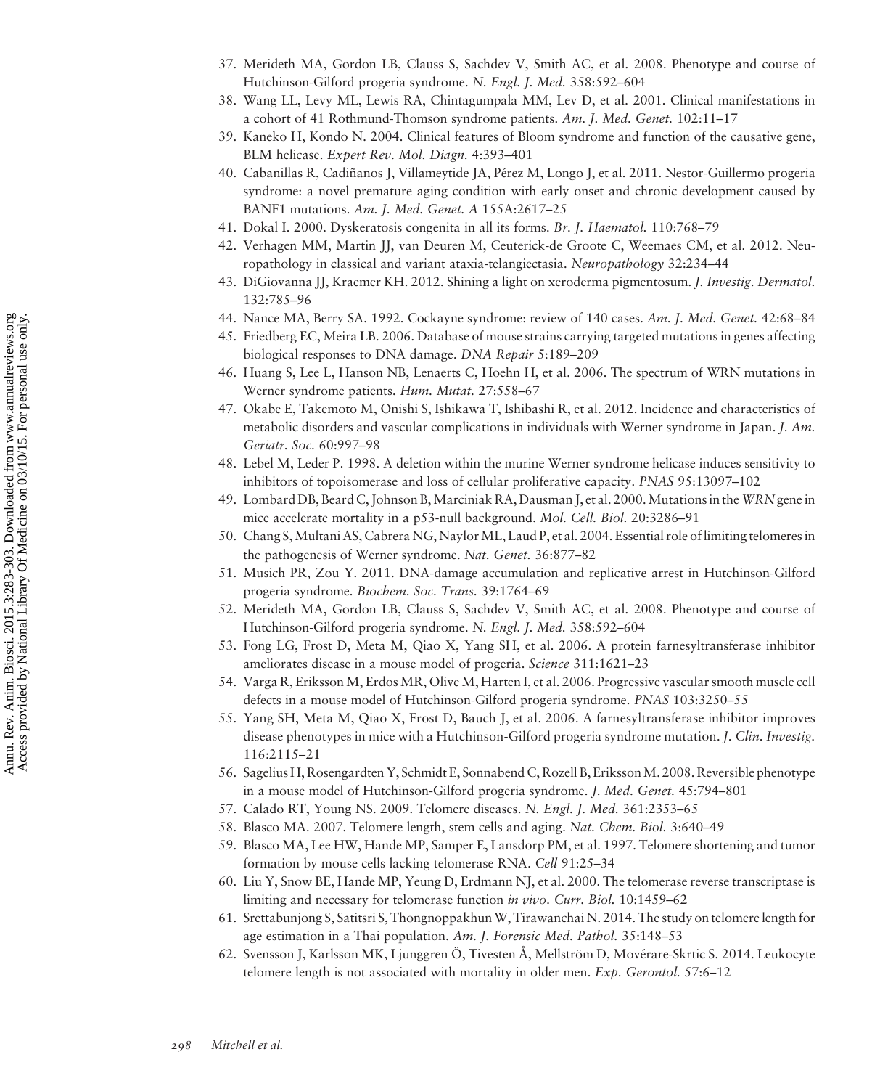- 37. Merideth MA, Gordon LB, Clauss S, Sachdev V, Smith AC, et al. 2008. Phenotype and course of Hutchinson-Gilford progeria syndrome. N. Engl. J. Med. 358:592–604
- 38. Wang LL, Levy ML, Lewis RA, Chintagumpala MM, Lev D, et al. 2001. Clinical manifestations in a cohort of 41 Rothmund-Thomson syndrome patients. Am. J. Med. Genet. 102:11–17
- 39. Kaneko H, Kondo N. 2004. Clinical features of Bloom syndrome and function of the causative gene, BLM helicase. Expert Rev. Mol. Diagn. 4:393–401
- 40. Cabanillas R, Cadiñanos J, Villameytide JA, Pérez M, Longo J, et al. 2011. Nestor-Guillermo progeria syndrome: a novel premature aging condition with early onset and chronic development caused by BANF1 mutations. Am. J. Med. Genet. A 155A:2617–25
- 41. Dokal I. 2000. Dyskeratosis congenita in all its forms. Br. J. Haematol. 110:768–79
- 42. Verhagen MM, Martin JJ, van Deuren M, Ceuterick-de Groote C, Weemaes CM, et al. 2012. Neuropathology in classical and variant ataxia-telangiectasia. Neuropathology 32:234–44
- 43. DiGiovanna JJ, Kraemer KH. 2012. Shining a light on xeroderma pigmentosum. J. Investig. Dermatol. 132:785–96
- 44. Nance MA, Berry SA. 1992. Cockayne syndrome: review of 140 cases. Am. J. Med. Genet. 42:68–84
- 45. Friedberg EC, Meira LB. 2006. Database of mouse strains carrying targeted mutations in genes affecting biological responses to DNA damage. DNA Repair 5:189–209
- 46. Huang S, Lee L, Hanson NB, Lenaerts C, Hoehn H, et al. 2006. The spectrum of WRN mutations in Werner syndrome patients. Hum. Mutat. 27:558–67
- 47. Okabe E, Takemoto M, Onishi S, Ishikawa T, Ishibashi R, et al. 2012. Incidence and characteristics of metabolic disorders and vascular complications in individuals with Werner syndrome in Japan. J. Am. Geriatr. Soc. 60:997–98
- 48. Lebel M, Leder P. 1998. A deletion within the murine Werner syndrome helicase induces sensitivity to inhibitors of topoisomerase and loss of cellular proliferative capacity. PNAS 95:13097–102
- 49. Lombard DB, Beard C, Johnson B, Marciniak RA, Dausman J, et al. 2000. Mutations in the WRN gene in mice accelerate mortality in a p53-null background. Mol. Cell. Biol. 20:3286–91
- 50. Chang S, Multani AS, Cabrera NG, Naylor ML, Laud P, et al. 2004. Essential role of limiting telomeres in the pathogenesis of Werner syndrome. Nat. Genet. 36:877-82
- 51. Musich PR, Zou Y. 2011. DNA-damage accumulation and replicative arrest in Hutchinson-Gilford progeria syndrome. Biochem. Soc. Trans. 39:1764–69
- 52. Merideth MA, Gordon LB, Clauss S, Sachdev V, Smith AC, et al. 2008. Phenotype and course of Hutchinson-Gilford progeria syndrome. N. Engl. J. Med. 358:592–604
- 53. Fong LG, Frost D, Meta M, Qiao X, Yang SH, et al. 2006. A protein farnesyltransferase inhibitor ameliorates disease in a mouse model of progeria. Science 311:1621–23
- 54. Varga R, Eriksson M, Erdos MR, Olive M, Harten I, et al. 2006. Progressive vascular smooth muscle cell defects in a mouse model of Hutchinson-Gilford progeria syndrome. PNAS 103:3250–55
- 55. Yang SH, Meta M, Qiao X, Frost D, Bauch J, et al. 2006. A farnesyltransferase inhibitor improves disease phenotypes in mice with a Hutchinson-Gilford progeria syndrome mutation. *J. Clin. Investig.* 116:2115–21
- 56. Sagelius H, Rosengardten Y, Schmidt E, Sonnabend C, Rozell B, ErikssonM. 2008. Reversible phenotype in a mouse model of Hutchinson-Gilford progeria syndrome. J. Med. Genet. 45:794–801
- 57. Calado RT, Young NS. 2009. Telomere diseases. N. Engl. J. Med. 361:2353–65
- 58. Blasco MA. 2007. Telomere length, stem cells and aging. Nat. Chem. Biol. 3:640–49
- 59. Blasco MA, Lee HW, Hande MP, Samper E, Lansdorp PM, et al. 1997. Telomere shortening and tumor formation by mouse cells lacking telomerase RNA. Cell 91:25–34
- 60. Liu Y, Snow BE, Hande MP, Yeung D, Erdmann NJ, et al. 2000. The telomerase reverse transcriptase is limiting and necessary for telomerase function in vivo. Curr. Biol. 10:1459–62
- 61. Srettabunjong S, Satitsri S, ThongnoppakhunW, Tirawanchai N. 2014. The study on telomere length for age estimation in a Thai population. Am. J. Forensic Med. Pathol. 35:148-53
- 62. Svensson J, Karlsson MK, Ljunggren Ö, Tivesten Å, Mellström D, Movérare-Skrtic S. 2014. Leukocyte telomere length is not associated with mortality in older men.  $Exp$ . Gerontol. 57:6–12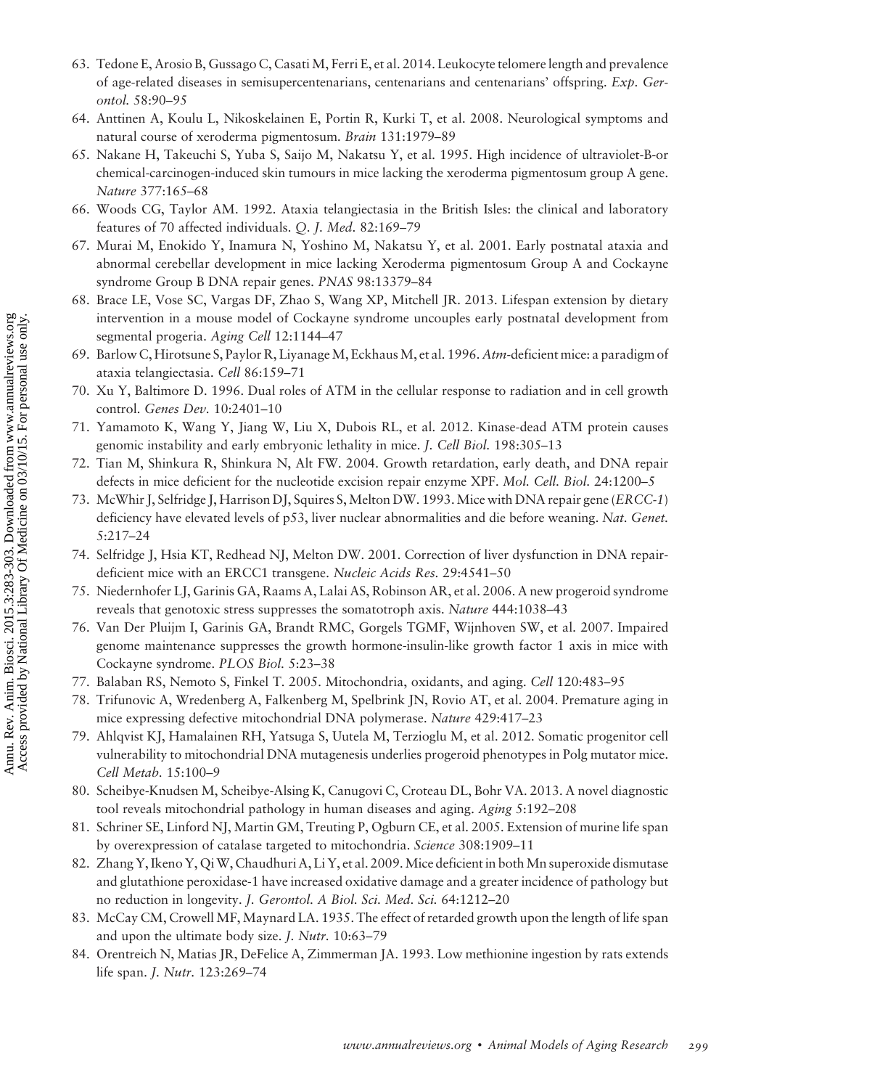- 63. Tedone E, Arosio B, Gussago C, Casati M, Ferri E, et al. 2014. Leukocyte telomere length and prevalence of age-related diseases in semisupercentenarians, centenarians and centenarians' offspring. Exp. Gerontol. 58:90–95
- 64. Anttinen A, Koulu L, Nikoskelainen E, Portin R, Kurki T, et al. 2008. Neurological symptoms and natural course of xeroderma pigmentosum. Brain 131:1979-89
- 65. Nakane H, Takeuchi S, Yuba S, Saijo M, Nakatsu Y, et al. 1995. High incidence of ultraviolet-B-or chemical-carcinogen-induced skin tumours in mice lacking the xeroderma pigmentosum group A gene. Nature 377:165–68
- 66. Woods CG, Taylor AM. 1992. Ataxia telangiectasia in the British Isles: the clinical and laboratory features of 70 affected individuals. Q. J. Med. 82:169–79
- 67. Murai M, Enokido Y, Inamura N, Yoshino M, Nakatsu Y, et al. 2001. Early postnatal ataxia and abnormal cerebellar development in mice lacking Xeroderma pigmentosum Group A and Cockayne syndrome Group B DNA repair genes. PNAS 98:13379–84
- 68. Brace LE, Vose SC, Vargas DF, Zhao S, Wang XP, Mitchell JR. 2013. Lifespan extension by dietary intervention in a mouse model of Cockayne syndrome uncouples early postnatal development from segmental progeria. Aging Cell 12:1144–47
- 69. Barlow C, Hirotsune S, Paylor R, Liyanage M, Eckhaus M, et al. 1996. Atm-deficient mice: a paradigm of ataxia telangiectasia. Cell 86:159–71
- 70. Xu Y, Baltimore D. 1996. Dual roles of ATM in the cellular response to radiation and in cell growth control. Genes Dev. 10:2401–10
- 71. Yamamoto K, Wang Y, Jiang W, Liu X, Dubois RL, et al. 2012. Kinase-dead ATM protein causes genomic instability and early embryonic lethality in mice. J. Cell Biol. 198:305–13
- 72. Tian M, Shinkura R, Shinkura N, Alt FW. 2004. Growth retardation, early death, and DNA repair defects in mice deficient for the nucleotide excision repair enzyme XPF. Mol. Cell. Biol. 24:1200–5
- 73. McWhir J, Selfridge J, Harrison DJ, Squires S, Melton DW. 1993. Mice with DNA repair gene (ERCC-1) deficiency have elevated levels of p53, liver nuclear abnormalities and die before weaning. Nat. Genet. 5:217–24
- 74. Selfridge J, Hsia KT, Redhead NJ, Melton DW. 2001. Correction of liver dysfunction in DNA repairdeficient mice with an ERCC1 transgene. Nucleic Acids Res. 29:4541-50
- 75. Niedernhofer LJ, Garinis GA, Raams A, Lalai AS, Robinson AR, et al. 2006. A new progeroid syndrome reveals that genotoxic stress suppresses the somatotroph axis. Nature 444:1038–43
- 76. Van Der Pluijm I, Garinis GA, Brandt RMC, Gorgels TGMF, Wijnhoven SW, et al. 2007. Impaired genome maintenance suppresses the growth hormone-insulin-like growth factor 1 axis in mice with Cockayne syndrome. PLOS Biol. 5:23–38
- 77. Balaban RS, Nemoto S, Finkel T. 2005. Mitochondria, oxidants, and aging. Cell 120:483–95
- 78. Trifunovic A, Wredenberg A, Falkenberg M, Spelbrink JN, Rovio AT, et al. 2004. Premature aging in mice expressing defective mitochondrial DNA polymerase. Nature 429:417–23
- 79. Ahlqvist KJ, Hamalainen RH, Yatsuga S, Uutela M, Terzioglu M, et al. 2012. Somatic progenitor cell vulnerability to mitochondrial DNA mutagenesis underlies progeroid phenotypes in Polg mutator mice. Cell Metab. 15:100–9
- 80. Scheibye-Knudsen M, Scheibye-Alsing K, Canugovi C, Croteau DL, Bohr VA. 2013. A novel diagnostic tool reveals mitochondrial pathology in human diseases and aging. Aging 5:192–208
- 81. Schriner SE, Linford NJ, Martin GM, Treuting P, Ogburn CE, et al. 2005. Extension of murine life span by overexpression of catalase targeted to mitochondria. Science 308:1909–11
- 82. Zhang Y, Ikeno Y, Qi W, Chaudhuri A, Li Y, et al. 2009. Mice deficient in both Mn superoxide dismutase and glutathione peroxidase-1 have increased oxidative damage and a greater incidence of pathology but no reduction in longevity. J. Gerontol. A Biol. Sci. Med. Sci. 64:1212–20
- 83. McCay CM, Crowell MF, Maynard LA. 1935. The effect of retarded growth upon the length of life span and upon the ultimate body size. *J. Nutr.* 10:63-79
- 84. Orentreich N, Matias JR, DeFelice A, Zimmerman JA. 1993. Low methionine ingestion by rats extends life span. J. Nutr. 123:269–74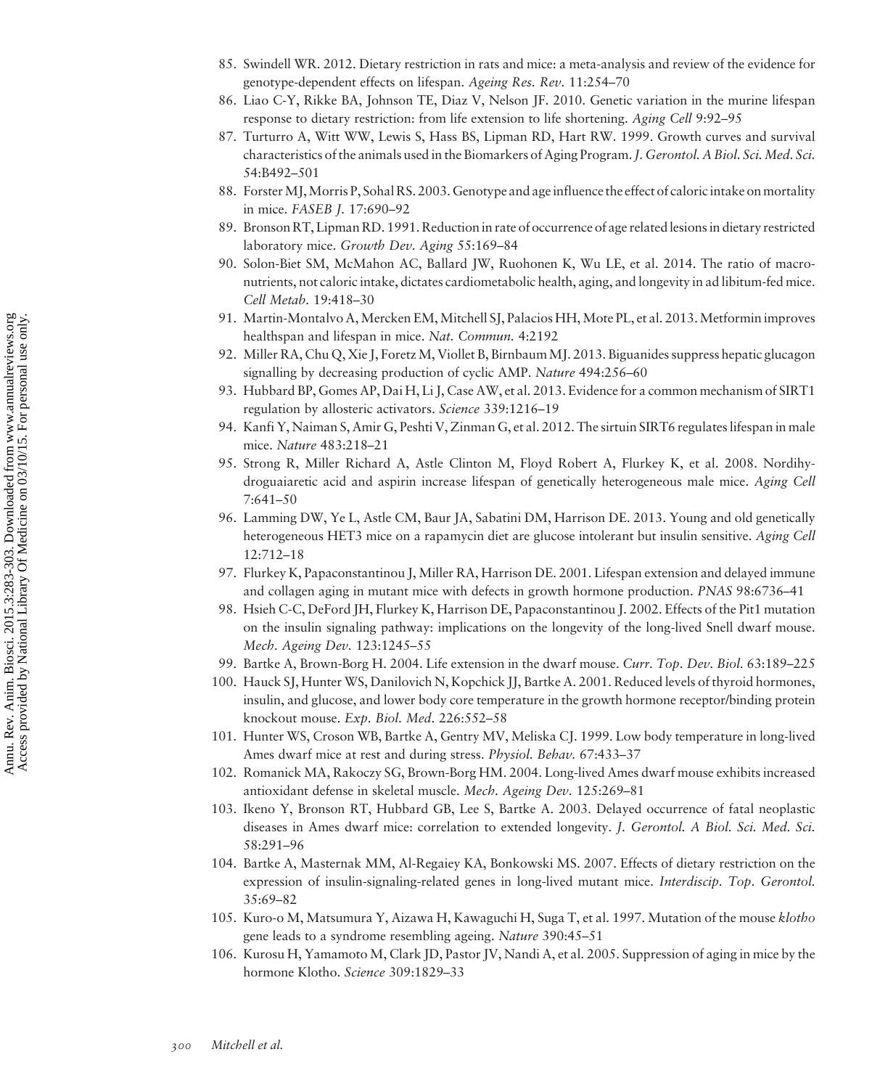- 85. Swindell WR. 2012. Dietary restriction in rats and mice: a meta-analysis and review of the evidence for genotype-dependent effects on lifespan. Ageing Res. Rev. 11:254–70
- 86. Liao C-Y, Rikke BA, Johnson TE, Diaz V, Nelson JF. 2010. Genetic variation in the murine lifespan response to dietary restriction: from life extension to life shortening. Aging Cell 9:92–95
- 87. Turturro A, Witt WW, Lewis S, Hass BS, Lipman RD, Hart RW. 1999. Growth curves and survival characteristics of the animals used in the Biomarkers of Aging Program. J. Gerontol. A Biol. Sci. Med. Sci. 54:B492–501
- 88. ForsterMJ,Morris P, Sohal RS. 2003. Genotype and age influence the effect of caloric intake on mortality in mice. FASEB J. 17:690–92
- 89. Bronson RT, Lipman RD. 1991. Reduction in rate of occurrence of age related lesions in dietary restricted laboratory mice. Growth Dev. Aging 55:169–84
- 90. Solon-Biet SM, McMahon AC, Ballard JW, Ruohonen K, Wu LE, et al. 2014. The ratio of macronutrients, not caloric intake, dictates cardiometabolic health, aging, and longevity in ad libitum-fed mice. Cell Metab. 19:418–30
- 91. Martin-Montalvo A, Mercken EM, Mitchell SJ, Palacios HH, Mote PL, et al. 2013. Metformin improves healthspan and lifespan in mice. Nat. Commun. 4:2192
- 92. Miller RA, Chu Q, Xie J, Foretz M, Viollet B, BirnbaumMJ. 2013. Biguanides suppress hepatic glucagon signalling by decreasing production of cyclic AMP. Nature 494:256-60
- 93. Hubbard BP, Gomes AP, Dai H, Li J, Case AW, et al. 2013. Evidence for a common mechanism of SIRT1 regulation by allosteric activators. Science 339:1216–19
- 94. Kanfi Y, Naiman S, Amir G, Peshti V, Zinman G, et al. 2012. The sirtuin SIRT6 regulates lifespan in male mice. Nature 483:218–21
- 95. Strong R, Miller Richard A, Astle Clinton M, Floyd Robert A, Flurkey K, et al. 2008. Nordihydroguaiaretic acid and aspirin increase lifespan of genetically heterogeneous male mice. Aging Cell 7:641–50
- 96. Lamming DW, Ye L, Astle CM, Baur JA, Sabatini DM, Harrison DE. 2013. Young and old genetically heterogeneous HET3 mice on a rapamycin diet are glucose intolerant but insulin sensitive. Aging Cell 12:712–18
- 97. Flurkey K, Papaconstantinou J, Miller RA, Harrison DE. 2001. Lifespan extension and delayed immune and collagen aging in mutant mice with defects in growth hormone production. PNAS 98:6736–41
- 98. Hsieh C-C, DeFord JH, Flurkey K, Harrison DE, Papaconstantinou J. 2002. Effects of the Pit1 mutation on the insulin signaling pathway: implications on the longevity of the long-lived Snell dwarf mouse. Mech. Ageing Dev. 123:1245–55
- 99. Bartke A, Brown-Borg H. 2004. Life extension in the dwarf mouse. Curr. Top. Dev. Biol. 63:189–225
- 100. Hauck SJ, Hunter WS, Danilovich N, Kopchick JJ, Bartke A. 2001. Reduced levels of thyroid hormones, insulin, and glucose, and lower body core temperature in the growth hormone receptor/binding protein knockout mouse. Exp. Biol. Med. 226:552–58
- 101. Hunter WS, Croson WB, Bartke A, Gentry MV, Meliska CJ. 1999. Low body temperature in long-lived Ames dwarf mice at rest and during stress. Physiol. Behav. 67:433–37
- 102. Romanick MA, Rakoczy SG, Brown-Borg HM. 2004. Long-lived Ames dwarf mouse exhibits increased antioxidant defense in skeletal muscle. Mech. Ageing Dev. 125:269–81
- 103. Ikeno Y, Bronson RT, Hubbard GB, Lee S, Bartke A. 2003. Delayed occurrence of fatal neoplastic diseases in Ames dwarf mice: correlation to extended longevity. J. Gerontol. A Biol. Sci. Med. Sci. 58:291–96
- 104. Bartke A, Masternak MM, Al-Regaiey KA, Bonkowski MS. 2007. Effects of dietary restriction on the expression of insulin-signaling-related genes in long-lived mutant mice. Interdiscip. Top. Gerontol. 35:69–82
- 105. Kuro-o M, Matsumura Y, Aizawa H, Kawaguchi H, Suga T, et al. 1997. Mutation of the mouse klotho gene leads to a syndrome resembling ageing. Nature 390:45-51
- 106. Kurosu H, Yamamoto M, Clark JD, Pastor JV, Nandi A, et al. 2005. Suppression of aging in mice by the hormone Klotho. Science 309:1829-33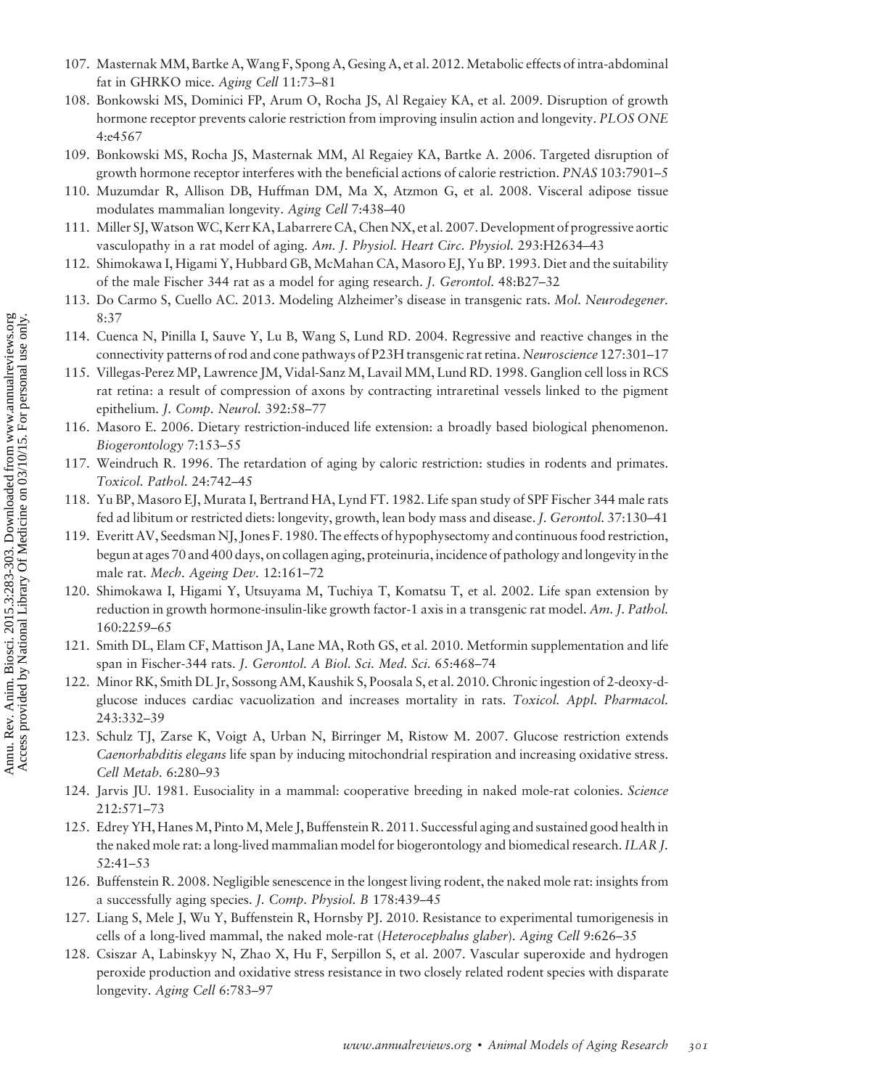- 107. Masternak MM, Bartke A,Wang F, Spong A, Gesing A, et al. 2012. Metabolic effects of intra-abdominal fat in GHRKO mice. Aging Cell 11:73–81
- 108. Bonkowski MS, Dominici FP, Arum O, Rocha JS, Al Regaiey KA, et al. 2009. Disruption of growth hormone receptor prevents calorie restriction from improving insulin action and longevity. PLOS ONE 4:e4567
- 109. Bonkowski MS, Rocha JS, Masternak MM, Al Regaiey KA, Bartke A. 2006. Targeted disruption of growth hormone receptor interferes with the beneficial actions of calorie restriction. PNAS 103:7901–5
- 110. Muzumdar R, Allison DB, Huffman DM, Ma X, Atzmon G, et al. 2008. Visceral adipose tissue modulates mammalian longevity. Aging Cell 7:438–40
- 111. Miller SJ,WatsonWC, Kerr KA, Labarrere CA, Chen NX, et al. 2007. Development of progressive aortic vasculopathy in a rat model of aging. Am. J. Physiol. Heart Circ. Physiol. 293:H2634–43
- 112. Shimokawa I, Higami Y, Hubbard GB, McMahan CA, Masoro EJ, Yu BP. 1993. Diet and the suitability of the male Fischer 344 rat as a model for aging research. J. Gerontol. 48:B27–32
- 113. Do Carmo S, Cuello AC. 2013. Modeling Alzheimer's disease in transgenic rats. Mol. Neurodegener. 8:37
- 114. Cuenca N, Pinilla I, Sauve Y, Lu B, Wang S, Lund RD. 2004. Regressive and reactive changes in the connectivity patterns of rod and cone pathways of P23H transgenic rat retina. Neuroscience 127:301–17
- 115. Villegas-Perez MP, Lawrence JM, Vidal-Sanz M, Lavail MM, Lund RD. 1998. Ganglion cell loss in RCS rat retina: a result of compression of axons by contracting intraretinal vessels linked to the pigment epithelium. J. Comp. Neurol. 392:58-77
- 116. Masoro E. 2006. Dietary restriction-induced life extension: a broadly based biological phenomenon. Biogerontology 7:153–55
- 117. Weindruch R. 1996. The retardation of aging by caloric restriction: studies in rodents and primates. Toxicol. Pathol. 24:742–45
- 118. Yu BP, Masoro EJ, Murata I, Bertrand HA, Lynd FT. 1982. Life span study of SPF Fischer 344 male rats fed ad libitum or restricted diets: longevity, growth, lean body mass and disease. J. Gerontol. 37:130–41
- 119. Everitt AV, Seedsman NJ, Jones F. 1980. The effects of hypophysectomy and continuous food restriction, begun at ages 70 and 400 days, on collagen aging, proteinuria, incidence of pathology and longevity in the male rat. Mech. Ageing Dev. 12:161–72
- 120. Shimokawa I, Higami Y, Utsuyama M, Tuchiya T, Komatsu T, et al. 2002. Life span extension by reduction in growth hormone-insulin-like growth factor-1 axis in a transgenic rat model. Am. J. Pathol. 160:2259–65
- 121. Smith DL, Elam CF, Mattison JA, Lane MA, Roth GS, et al. 2010. Metformin supplementation and life span in Fischer-344 rats. J. Gerontol. A Biol. Sci. Med. Sci. 65:468–74
- 122. Minor RK, Smith DL Jr, Sossong AM, Kaushik S, Poosala S, et al. 2010. Chronic ingestion of 2-deoxy-dglucose induces cardiac vacuolization and increases mortality in rats. Toxicol. Appl. Pharmacol. 243:332–39
- 123. Schulz TJ, Zarse K, Voigt A, Urban N, Birringer M, Ristow M. 2007. Glucose restriction extends Caenorhabditis elegans life span by inducing mitochondrial respiration and increasing oxidative stress. Cell Metab. 6:280–93
- 124. Jarvis JU. 1981. Eusociality in a mammal: cooperative breeding in naked mole-rat colonies. Science 212:571–73
- 125. Edrey YH, Hanes M, Pinto M, Mele J, Buffenstein R. 2011. Successful aging and sustained good health in the naked mole rat: a long-lived mammalian model for biogerontology and biomedical research.ILAR J. 52:41–53
- 126. Buffenstein R. 2008. Negligible senescence in the longest living rodent, the naked mole rat: insights from a successfully aging species. J. Comp. Physiol. B 178:439–45
- 127. Liang S, Mele J, Wu Y, Buffenstein R, Hornsby PJ. 2010. Resistance to experimental tumorigenesis in cells of a long-lived mammal, the naked mole-rat (Heterocephalus glaber). Aging Cell 9:626-35
- 128. Csiszar A, Labinskyy N, Zhao X, Hu F, Serpillon S, et al. 2007. Vascular superoxide and hydrogen peroxide production and oxidative stress resistance in two closely related rodent species with disparate longevity. Aging Cell 6:783–97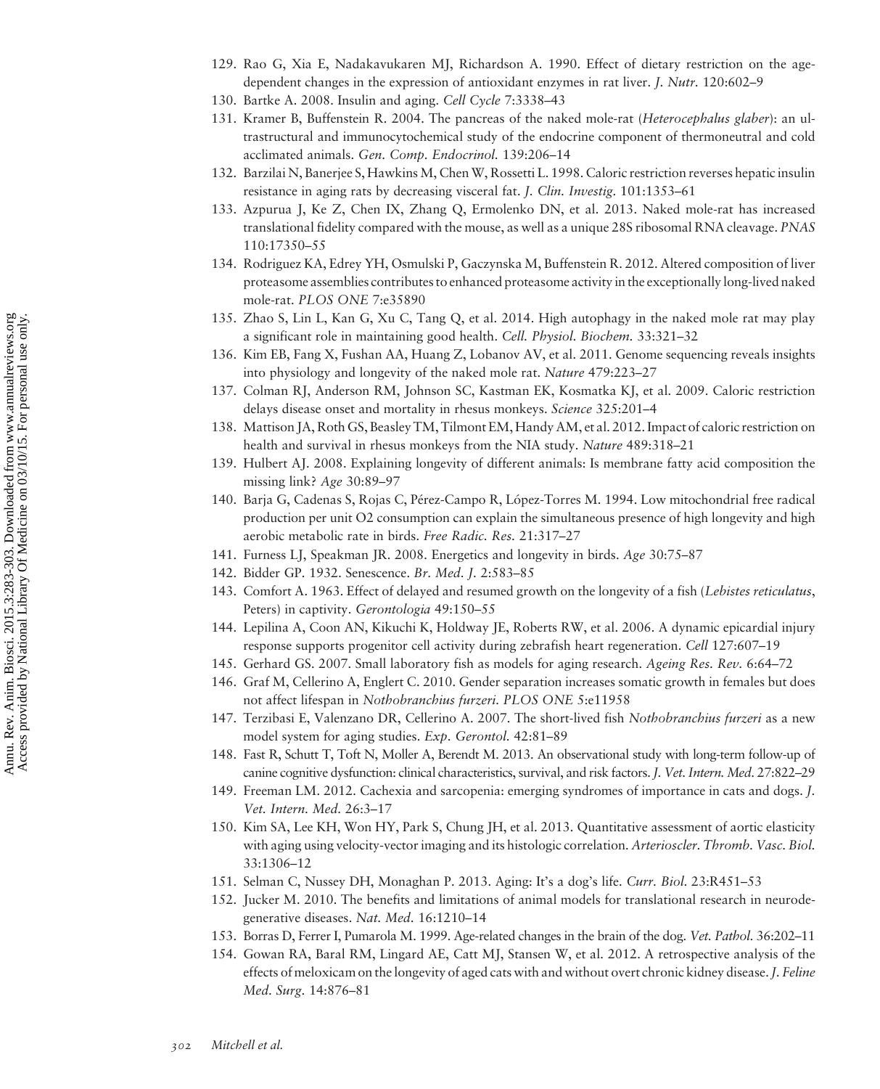- 129. Rao G, Xia E, Nadakavukaren MJ, Richardson A. 1990. Effect of dietary restriction on the agedependent changes in the expression of antioxidant enzymes in rat liver. *J. Nutr.* 120:602–9
- 130. Bartke A. 2008. Insulin and aging. Cell Cycle 7:3338–43
- 131. Kramer B, Buffenstein R. 2004. The pancreas of the naked mole-rat (Heterocephalus glaber): an ultrastructural and immunocytochemical study of the endocrine component of thermoneutral and cold acclimated animals. Gen. Comp. Endocrinol. 139:206–14
- 132. Barzilai N, Banerjee S, Hawkins M, ChenW, Rossetti L. 1998. Caloric restriction reverses hepatic insulin resistance in aging rats by decreasing visceral fat. J. Clin. Investig. 101:1353–61
- 133. Azpurua J, Ke Z, Chen IX, Zhang Q, Ermolenko DN, et al. 2013. Naked mole-rat has increased translational fidelity compared with the mouse, as well as a unique 28S ribosomal RNA cleavage. PNAS 110:17350–55
- 134. Rodriguez KA, Edrey YH, Osmulski P, Gaczynska M, Buffenstein R. 2012. Altered composition of liver proteasome assemblies contributes to enhanced proteasome activity in the exceptionally long-lived naked mole-rat. PLOS ONE 7:e35890
- 135. Zhao S, Lin L, Kan G, Xu C, Tang Q, et al. 2014. High autophagy in the naked mole rat may play a significant role in maintaining good health. Cell. Physiol. Biochem. 33:321-32
- 136. Kim EB, Fang X, Fushan AA, Huang Z, Lobanov AV, et al. 2011. Genome sequencing reveals insights into physiology and longevity of the naked mole rat. Nature 479:223–27
- 137. Colman RJ, Anderson RM, Johnson SC, Kastman EK, Kosmatka KJ, et al. 2009. Caloric restriction delays disease onset and mortality in rhesus monkeys. Science 325:201–4
- 138. Mattison JA, Roth GS, Beasley TM, Tilmont EM, Handy AM, et al. 2012. Impact of caloric restriction on health and survival in rhesus monkeys from the NIA study. Nature 489:318–21
- 139. Hulbert AJ. 2008. Explaining longevity of different animals: Is membrane fatty acid composition the missing link? Age 30:89–97
- 140. Barja G, Cadenas S, Rojas C, Pérez-Campo R, López-Torres M. 1994. Low mitochondrial free radical production per unit O2 consumption can explain the simultaneous presence of high longevity and high aerobic metabolic rate in birds. Free Radic. Res. 21:317–27
- 141. Furness LJ, Speakman JR. 2008. Energetics and longevity in birds. Age 30:75–87
- 142. Bidder GP. 1932. Senescence. Br. Med. J. 2:583–85
- 143. Comfort A. 1963. Effect of delayed and resumed growth on the longevity of a fish (Lebistes reticulatus, Peters) in captivity. Gerontologia 49:150–55
- 144. Lepilina A, Coon AN, Kikuchi K, Holdway JE, Roberts RW, et al. 2006. A dynamic epicardial injury response supports progenitor cell activity during zebrafish heart regeneration. Cell 127:607–19
- 145. Gerhard GS. 2007. Small laboratory fish as models for aging research. Ageing Res. Rev. 6:64–72
- 146. Graf M, Cellerino A, Englert C. 2010. Gender separation increases somatic growth in females but does not affect lifespan in Nothobranchius furzeri. PLOS ONE 5:e11958
- 147. Terzibasi E, Valenzano DR, Cellerino A. 2007. The short-lived fish Nothobranchius furzeri as a new model system for aging studies. Exp. Gerontol. 42:81–89
- 148. Fast R, Schutt T, Toft N, Moller A, Berendt M. 2013. An observational study with long-term follow-up of canine cognitive dysfunction: clinical characteristics, survival, and risk factors. *J. Vet. Intern. Med.* 27:822–29
- 149. Freeman LM. 2012. Cachexia and sarcopenia: emerging syndromes of importance in cats and dogs. J. Vet. Intern. Med. 26:3–17
- 150. Kim SA, Lee KH, Won HY, Park S, Chung JH, et al. 2013. Quantitative assessment of aortic elasticity with aging using velocity-vector imaging and its histologic correlation. Arterioscler. Thromb. Vasc. Biol. 33:1306–12
- 151. Selman C, Nussey DH, Monaghan P. 2013. Aging: It's a dog's life. Curr. Biol. 23:R451–53
- 152. Jucker M. 2010. The benefits and limitations of animal models for translational research in neurodegenerative diseases. Nat. Med. 16:1210-14
- 153. Borras D, Ferrer I, Pumarola M. 1999. Age-related changes in the brain of the dog. Vet. Pathol. 36:202–11
- 154. Gowan RA, Baral RM, Lingard AE, Catt MJ, Stansen W, et al. 2012. A retrospective analysis of the effects of meloxicam on the longevity of aged cats with and without overt chronic kidney disease. J. Feline Med. Surg. 14:876–81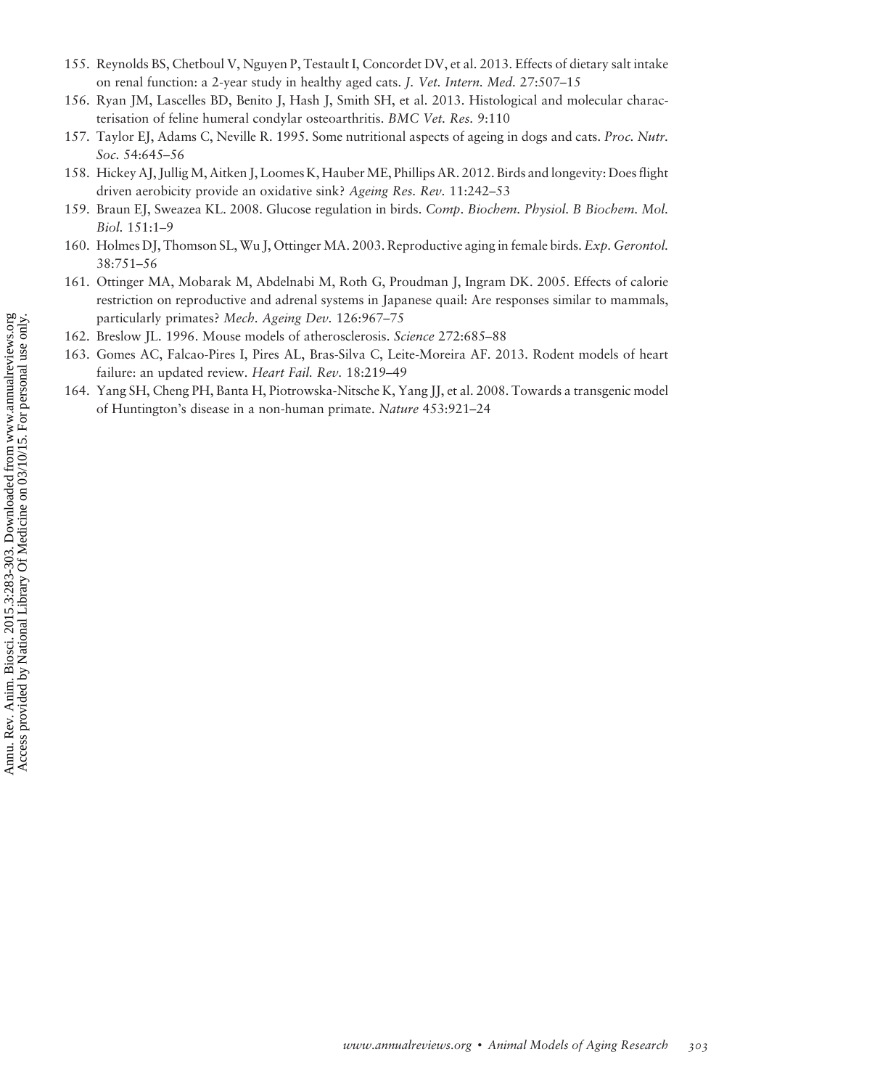- 155. Reynolds BS, Chetboul V, Nguyen P, Testault I, Concordet DV, et al. 2013. Effects of dietary salt intake on renal function: a 2-year study in healthy aged cats. J. Vet. Intern. Med. 27:507–15
- 156. Ryan JM, Lascelles BD, Benito J, Hash J, Smith SH, et al. 2013. Histological and molecular characterisation of feline humeral condylar osteoarthritis. BMC Vet. Res. 9:110
- 157. Taylor EJ, Adams C, Neville R. 1995. Some nutritional aspects of ageing in dogs and cats. Proc. Nutr. Soc. 54:645–56
- 158. Hickey AJ, JulligM, Aitken J, Loomes K, HauberME, Phillips AR. 2012. Birds and longevity: Does flight driven aerobicity provide an oxidative sink? Ageing Res. Rev. 11:242–53
- 159. Braun EJ, Sweazea KL. 2008. Glucose regulation in birds. Comp. Biochem. Physiol. B Biochem. Mol. Biol. 151:1–9
- 160. Holmes DJ, Thomson SL, Wu J, Ottinger MA. 2003. Reproductive aging in female birds. Exp. Gerontol. 38:751–56
- 161. Ottinger MA, Mobarak M, Abdelnabi M, Roth G, Proudman J, Ingram DK. 2005. Effects of calorie restriction on reproductive and adrenal systems in Japanese quail: Are responses similar to mammals, particularly primates? Mech. Ageing Dev. 126:967-75
- 162. Breslow JL. 1996. Mouse models of atherosclerosis. Science 272:685–88
- 163. Gomes AC, Falcao-Pires I, Pires AL, Bras-Silva C, Leite-Moreira AF. 2013. Rodent models of heart failure: an updated review. Heart Fail. Rev. 18:219-49
- 164. Yang SH, Cheng PH, Banta H, Piotrowska-Nitsche K, Yang JJ, et al. 2008. Towards a transgenic model of Huntington's disease in a non-human primate. Nature 453:921–24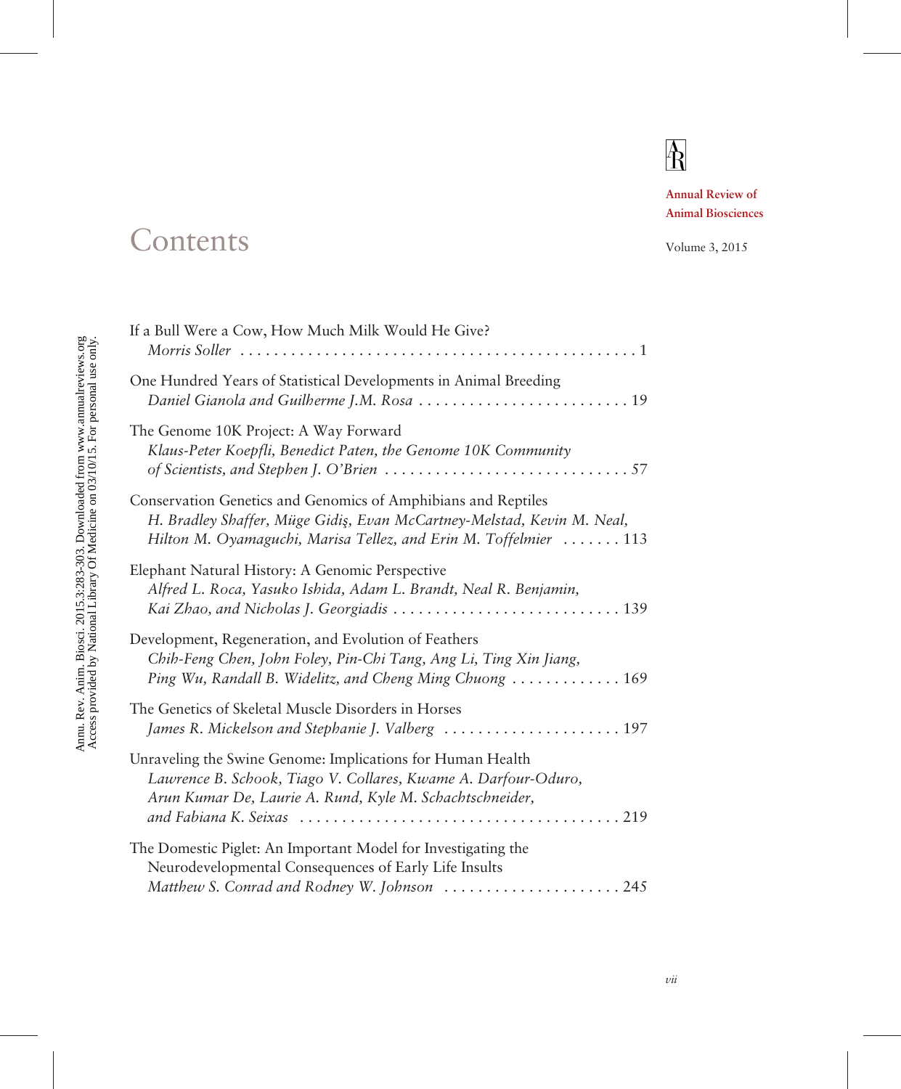# $\overline{\mathbf{R}}$

Annual Review of Animal Biosciences

## Contents Volume 3, 2015